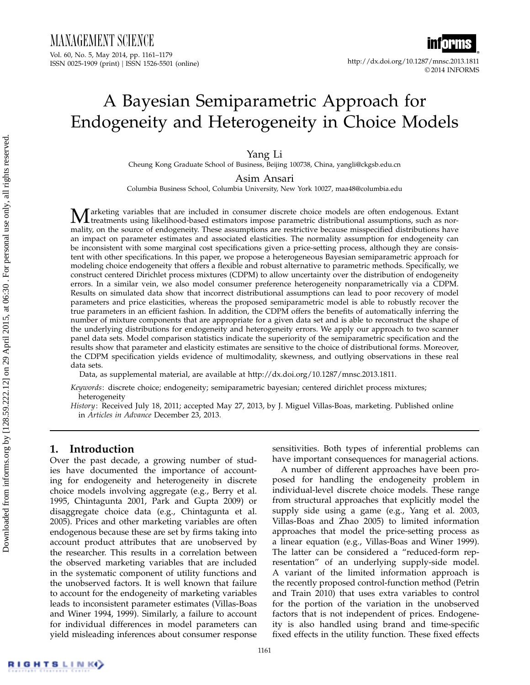

# A Bayesian Semiparametric Approach for Endogeneity and Heterogeneity in Choice Models

Yang Li

Cheung Kong Graduate School of Business, Beijing 100738, China, yangli@ckgsb.edu.cn

Asim Ansari

Columbia Business School, Columbia University, New York 10027, maa48@columbia.edu

**M** arketing variables that are included in consumer discrete choice models are often endogenous. Extant treatments using likelihood-based estimators impose parametric distributional assumptions, such as nor-<br>mality as the mality, on the source of endogeneity. These assumptions are restrictive because misspecified distributions have an impact on parameter estimates and associated elasticities. The normality assumption for endogeneity can be inconsistent with some marginal cost specifications given a price-setting process, although they are consistent with other specifications. In this paper, we propose a heterogeneous Bayesian semiparametric approach for modeling choice endogeneity that offers a flexible and robust alternative to parametric methods. Specifically, we construct centered Dirichlet process mixtures (CDPM) to allow uncertainty over the distribution of endogeneity errors. In a similar vein, we also model consumer preference heterogeneity nonparametrically via a CDPM. Results on simulated data show that incorrect distributional assumptions can lead to poor recovery of model parameters and price elasticities, whereas the proposed semiparametric model is able to robustly recover the true parameters in an efficient fashion. In addition, the CDPM offers the benefits of automatically inferring the number of mixture components that are appropriate for a given data set and is able to reconstruct the shape of the underlying distributions for endogeneity and heterogeneity errors. We apply our approach to two scanner panel data sets. Model comparison statistics indicate the superiority of the semiparametric specification and the results show that parameter and elasticity estimates are sensitive to the choice of distributional forms. Moreover, the CDPM specification yields evidence of multimodality, skewness, and outlying observations in these real data sets.

Data, as supplemental material, are available at http://dx.doi.org/10.1287/mnsc.2013.1811.

Keywords: discrete choice; endogeneity; semiparametric bayesian; centered dirichlet process mixtures; heterogeneity

History: Received July 18, 2011; accepted May 27, 2013, by J. Miguel Villas-Boas, marketing. Published online in Articles in Advance December 23, 2013.

# 1. Introduction

Over the past decade, a growing number of studies have documented the importance of accounting for endogeneity and heterogeneity in discrete choice models involving aggregate (e.g., Berry et al. 1995, Chintagunta 2001, Park and Gupta 2009) or disaggregate choice data (e.g., Chintagunta et al. 2005). Prices and other marketing variables are often endogenous because these are set by firms taking into account product attributes that are unobserved by the researcher. This results in a correlation between the observed marketing variables that are included in the systematic component of utility functions and the unobserved factors. It is well known that failure to account for the endogeneity of marketing variables leads to inconsistent parameter estimates (Villas-Boas and Winer 1994, 1999). Similarly, a failure to account for individual differences in model parameters can yield misleading inferences about consumer response sensitivities. Both types of inferential problems can have important consequences for managerial actions.

A number of different approaches have been proposed for handling the endogeneity problem in individual-level discrete choice models. These range from structural approaches that explicitly model the supply side using a game (e.g., Yang et al. 2003, Villas-Boas and Zhao 2005) to limited information approaches that model the price-setting process as a linear equation (e.g., Villas-Boas and Winer 1999). The latter can be considered a "reduced-form representation" of an underlying supply-side model. A variant of the limited information approach is the recently proposed control-function method (Petrin and Train 2010) that uses extra variables to control for the portion of the variation in the unobserved factors that is not independent of prices. Endogeneity is also handled using brand and time-specific fixed effects in the utility function. These fixed effects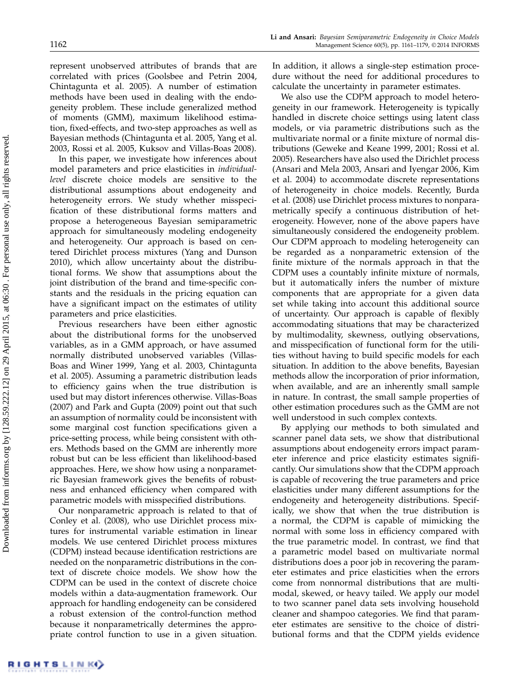represent unobserved attributes of brands that are correlated with prices (Goolsbee and Petrin 2004, Chintagunta et al. 2005). A number of estimation methods have been used in dealing with the endogeneity problem. These include generalized method of moments (GMM), maximum likelihood estimation, fixed-effects, and two-step approaches as well as Bayesian methods (Chintagunta et al. 2005, Yang et al. 2003, Rossi et al. 2005, Kuksov and Villas-Boas 2008).

In this paper, we investigate how inferences about model parameters and price elasticities in individuallevel discrete choice models are sensitive to the distributional assumptions about endogeneity and heterogeneity errors. We study whether misspecification of these distributional forms matters and propose a heterogeneous Bayesian semiparametric approach for simultaneously modeling endogeneity and heterogeneity. Our approach is based on centered Dirichlet process mixtures (Yang and Dunson 2010), which allow uncertainty about the distributional forms. We show that assumptions about the joint distribution of the brand and time-specific constants and the residuals in the pricing equation can have a significant impact on the estimates of utility parameters and price elasticities.

Previous researchers have been either agnostic about the distributional forms for the unobserved variables, as in a GMM approach, or have assumed normally distributed unobserved variables (Villas-Boas and Winer 1999, Yang et al. 2003, Chintagunta et al. 2005). Assuming a parametric distribution leads to efficiency gains when the true distribution is used but may distort inferences otherwise. Villas-Boas (2007) and Park and Gupta (2009) point out that such an assumption of normality could be inconsistent with some marginal cost function specifications given a price-setting process, while being consistent with others. Methods based on the GMM are inherently more robust but can be less efficient than likelihood-based approaches. Here, we show how using a nonparametric Bayesian framework gives the benefits of robustness and enhanced efficiency when compared with parametric models with misspecified distributions.

Our nonparametric approach is related to that of Conley et al. (2008), who use Dirichlet process mixtures for instrumental variable estimation in linear models. We use centered Dirichlet process mixtures (CDPM) instead because identification restrictions are needed on the nonparametric distributions in the context of discrete choice models. We show how the CDPM can be used in the context of discrete choice models within a data-augmentation framework. Our approach for handling endogeneity can be considered a robust extension of the control-function method because it nonparametrically determines the appropriate control function to use in a given situation.

In addition, it allows a single-step estimation procedure without the need for additional procedures to calculate the uncertainty in parameter estimates.

We also use the CDPM approach to model heterogeneity in our framework. Heterogeneity is typically handled in discrete choice settings using latent class models, or via parametric distributions such as the multivariate normal or a finite mixture of normal distributions (Geweke and Keane 1999, 2001; Rossi et al. 2005). Researchers have also used the Dirichlet process (Ansari and Mela 2003, Ansari and Iyengar 2006, Kim et al. 2004) to accommodate discrete representations of heterogeneity in choice models. Recently, Burda et al. (2008) use Dirichlet process mixtures to nonparametrically specify a continuous distribution of heterogeneity. However, none of the above papers have simultaneously considered the endogeneity problem. Our CDPM approach to modeling heterogeneity can be regarded as a nonparametric extension of the finite mixture of the normals approach in that the CDPM uses a countably infinite mixture of normals, but it automatically infers the number of mixture components that are appropriate for a given data set while taking into account this additional source of uncertainty. Our approach is capable of flexibly accommodating situations that may be characterized by multimodality, skewness, outlying observations, and misspecification of functional form for the utilities without having to build specific models for each situation. In addition to the above benefits, Bayesian methods allow the incorporation of prior information, when available, and are an inherently small sample in nature. In contrast, the small sample properties of other estimation procedures such as the GMM are not well understood in such complex contexts.

By applying our methods to both simulated and scanner panel data sets, we show that distributional assumptions about endogeneity errors impact parameter inference and price elasticity estimates significantly. Our simulations show that the CDPM approach is capable of recovering the true parameters and price elasticities under many different assumptions for the endogeneity and heterogeneity distributions. Specifically, we show that when the true distribution is a normal, the CDPM is capable of mimicking the normal with some loss in efficiency compared with the true parametric model. In contrast, we find that a parametric model based on multivariate normal distributions does a poor job in recovering the parameter estimates and price elasticities when the errors come from nonnormal distributions that are multimodal, skewed, or heavy tailed. We apply our model to two scanner panel data sets involving household cleaner and shampoo categories. We find that parameter estimates are sensitive to the choice of distributional forms and that the CDPM yields evidence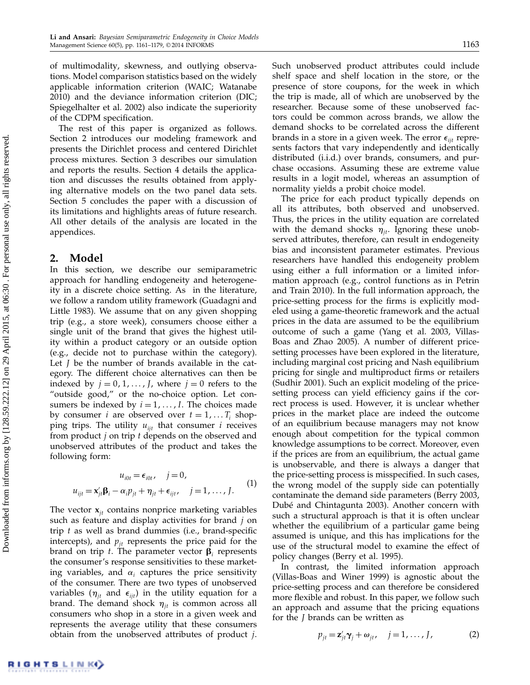of multimodality, skewness, and outlying observations. Model comparison statistics based on the widely applicable information criterion (WAIC; Watanabe 2010) and the deviance information criterion (DIC; Spiegelhalter et al. 2002) also indicate the superiority of the CDPM specification.

The rest of this paper is organized as follows. Section 2 introduces our modeling framework and presents the Dirichlet process and centered Dirichlet process mixtures. Section 3 describes our simulation and reports the results. Section 4 details the application and discusses the results obtained from applying alternative models on the two panel data sets. Section 5 concludes the paper with a discussion of its limitations and highlights areas of future research. All other details of the analysis are located in the appendices.

# 2. Model

In this section, we describe our semiparametric approach for handling endogeneity and heterogeneity in a discrete choice setting. As in the literature, we follow a random utility framework (Guadagni and Little 1983). We assume that on any given shopping trip (e.g., a store week), consumers choose either a single unit of the brand that gives the highest utility within a product category or an outside option (e.g., decide not to purchase within the category). Let *J* be the number of brands available in the category. The different choice alternatives can then be indexed by  $j = 0, 1, \ldots, J$ , where  $j = 0$  refers to the "outside good," or the no-choice option. Let consumers be indexed by  $i = 1, \ldots, I$ . The choices made by consumer *i* are observed over  $t = 1, \dots T_i$  shopping trips. The utility  $u_{ijt}$  that consumer *i* receives from product  $j$  on trip  $t$  depends on the observed and unobserved attributes of the product and takes the following form:

$$
u_{i0t} = \epsilon_{i0t}, \quad j = 0,
$$
  

$$
u_{ijt} = \mathbf{x}_{jt}'\mathbf{\beta}_i - \alpha_i p_{jt} + \eta_{jt} + \epsilon_{ijt}, \quad j = 1, ..., J.
$$
 (1)

The vector  $x_{it}$  contains nonprice marketing variables such as feature and display activities for brand *j* on trip t as well as brand dummies (i.e., brand-specific intercepts), and  $p_{it}$  represents the price paid for the brand on trip t. The parameter vector  $\boldsymbol{\beta}_i$  represents the consumer's response sensitivities to these marketing variables, and  $\alpha_i$  captures the price sensitivity of the consumer. There are two types of unobserved variables ( $\eta_{it}$  and  $\epsilon_{iit}$ ) in the utility equation for a brand. The demand shock  $\eta_{it}$  is common across all consumers who shop in a store in a given week and represents the average utility that these consumers obtain from the unobserved attributes of product j.

Such unobserved product attributes could include shelf space and shelf location in the store, or the presence of store coupons, for the week in which the trip is made, all of which are unobserved by the researcher. Because some of these unobserved factors could be common across brands, we allow the demand shocks to be correlated across the different brands in a store in a given week. The error  $\epsilon_{ii}$  represents factors that vary independently and identically distributed (i.i.d.) over brands, consumers, and purchase occasions. Assuming these are extreme value results in a logit model, whereas an assumption of normality yields a probit choice model.

The price for each product typically depends on all its attributes, both observed and unobserved. Thus, the prices in the utility equation are correlated with the demand shocks  $\eta_{it}$ . Ignoring these unobserved attributes, therefore, can result in endogeneity bias and inconsistent parameter estimates. Previous researchers have handled this endogeneity problem using either a full information or a limited information approach (e.g., control functions as in Petrin and Train 2010). In the full information approach, the price-setting process for the firms is explicitly modeled using a game-theoretic framework and the actual prices in the data are assumed to be the equilibrium outcome of such a game (Yang et al. 2003, Villas-Boas and Zhao 2005). A number of different pricesetting processes have been explored in the literature, including marginal cost pricing and Nash equilibrium pricing for single and multiproduct firms or retailers (Sudhir 2001). Such an explicit modeling of the pricesetting process can yield efficiency gains if the correct process is used. However, it is unclear whether prices in the market place are indeed the outcome of an equilibrium because managers may not know enough about competition for the typical common knowledge assumptions to be correct. Moreover, even if the prices are from an equilibrium, the actual game is unobservable, and there is always a danger that the price-setting process is misspecified. In such cases, the wrong model of the supply side can potentially contaminate the demand side parameters (Berry 2003, Dubé and Chintagunta 2003). Another concern with such a structural approach is that it is often unclear whether the equilibrium of a particular game being assumed is unique, and this has implications for the use of the structural model to examine the effect of policy changes (Berry et al. 1995).

In contrast, the limited information approach (Villas-Boas and Winer 1999) is agnostic about the price-setting process and can therefore be considered more flexible and robust. In this paper, we follow such an approach and assume that the pricing equations for the J brands can be written as

$$
p_{jt} = \mathbf{z}'_{jt} \mathbf{\gamma}_j + \boldsymbol{\omega}_{jt}, \quad j = 1, \dots, J,
$$
 (2)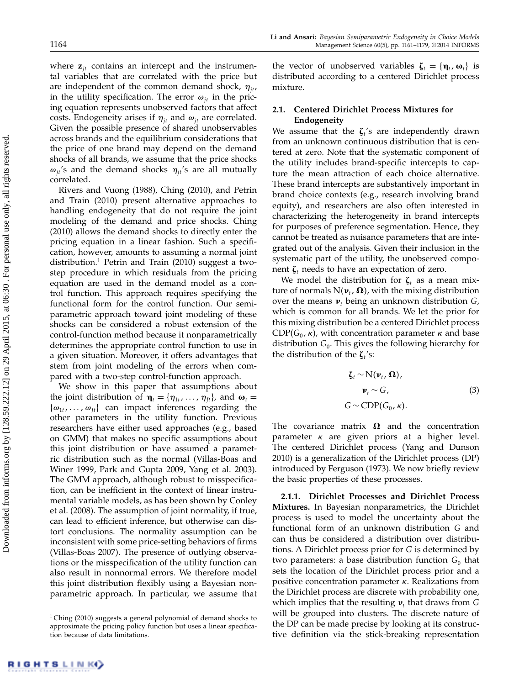where  $z_{it}$  contains an intercept and the instrumental variables that are correlated with the price but are independent of the common demand shock,  $\eta_{it}$ , in the utility specification. The error  $\omega_{it}$  in the pricing equation represents unobserved factors that affect costs. Endogeneity arises if  $\eta_{it}$  and  $\omega_{it}$  are correlated. Given the possible presence of shared unobservables across brands and the equilibrium considerations that the price of one brand may depend on the demand shocks of all brands, we assume that the price shocks  $\omega_{it}$ 's and the demand shocks  $\eta_{it}$ 's are all mutually correlated.

Rivers and Vuong (1988), Ching (2010), and Petrin and Train (2010) present alternative approaches to handling endogeneity that do not require the joint modeling of the demand and price shocks. Ching (2010) allows the demand shocks to directly enter the pricing equation in a linear fashion. Such a specification, however, amounts to assuming a normal joint distribution.<sup>1</sup> Petrin and Train (2010) suggest a twostep procedure in which residuals from the pricing equation are used in the demand model as a control function. This approach requires specifying the functional form for the control function. Our semiparametric approach toward joint modeling of these shocks can be considered a robust extension of the control-function method because it nonparametrically determines the appropriate control function to use in a given situation. Moreover, it offers advantages that stem from joint modeling of the errors when compared with a two-step control-function approach.

We show in this paper that assumptions about the joint distribution of  $\mathbf{\eta}_t = {\eta_{1t}, \dots, \eta_{jt}}$ , and  $\mathbf{\omega}_t =$  $\{\omega_{1t}, \ldots, \omega_{Jt}\}\;$  can impact inferences regarding the other parameters in the utility function. Previous researchers have either used approaches (e.g., based on GMM) that makes no specific assumptions about this joint distribution or have assumed a parametric distribution such as the normal (Villas-Boas and Winer 1999, Park and Gupta 2009, Yang et al. 2003). The GMM approach, although robust to misspecification, can be inefficient in the context of linear instrumental variable models, as has been shown by Conley et al. (2008). The assumption of joint normality, if true, can lead to efficient inference, but otherwise can distort conclusions. The normality assumption can be inconsistent with some price-setting behaviors of firms (Villas-Boas 2007). The presence of outlying observations or the misspecification of the utility function can also result in nonnormal errors. We therefore model this joint distribution flexibly using a Bayesian nonparametric approach. In particular, we assume that

the vector of unobserved variables  $\boldsymbol{\zeta}_t = {\boldsymbol{\eta}_t, \boldsymbol{\omega}_t}$  is distributed according to a centered Dirichlet process mixture.

# 2.1. Centered Dirichlet Process Mixtures for Endogeneity

We assume that the  $\zeta_t$ 's are independently drawn from an unknown continuous distribution that is centered at zero. Note that the systematic component of the utility includes brand-specific intercepts to capture the mean attraction of each choice alternative. These brand intercepts are substantively important in brand choice contexts (e.g., research involving brand equity), and researchers are also often interested in characterizing the heterogeneity in brand intercepts for purposes of preference segmentation. Hence, they cannot be treated as nuisance parameters that are integrated out of the analysis. Given their inclusion in the systematic part of the utility, the unobserved component  $\zeta_t$  needs to have an expectation of zero.

We model the distribution for  $\zeta_t$  as a mean mixture of normals  $N(\boldsymbol{v}_t, \boldsymbol{\Omega})$ , with the mixing distribution over the means  $v_t$  being an unknown distribution  $G_t$ , which is common for all brands. We let the prior for this mixing distribution be a centered Dirichlet process  $CDP(G_0, \kappa)$ , with concentration parameter  $\kappa$  and base distribution  $G_0$ . This gives the following hierarchy for the distribution of the  $\zeta_i$ 's:

$$
\zeta_t \sim N(\nu_t, \Omega),
$$
  
\n
$$
\nu_t \sim G,
$$
  
\n
$$
G \sim \text{CDF}(G_0, \kappa).
$$
\n(3)

The covariance matrix  $\Omega$  and the concentration parameter  $\kappa$  are given priors at a higher level. The centered Dirichlet process (Yang and Dunson 2010) is a generalization of the Dirichlet process (DP) introduced by Ferguson (1973). We now briefly review the basic properties of these processes.

2.1.1. Dirichlet Processes and Dirichlet Process Mixtures. In Bayesian nonparametrics, the Dirichlet process is used to model the uncertainty about the functional form of an unknown distribution G and can thus be considered a distribution over distributions. A Dirichlet process prior for G is determined by two parameters: a base distribution function  $G_0$  that sets the location of the Dirichlet process prior and a positive concentration parameter  $\kappa$ . Realizations from the Dirichlet process are discrete with probability one, which implies that the resulting  $\boldsymbol{v}_t$  that draws from  $G$ will be grouped into clusters. The discrete nature of the DP can be made precise by looking at its constructive definition via the stick-breaking representation

 $1$  Ching (2010) suggests a general polynomial of demand shocks to approximate the pricing policy function but uses a linear specification because of data limitations.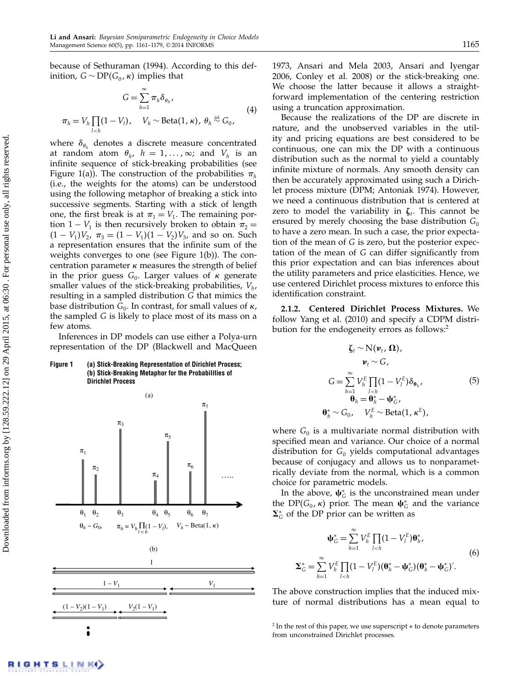because of Sethuraman (1994). According to this definition,  $G \sim \mathrm{DP}(G_0, \kappa)$  implies that

$$
G = \sum_{h=1}^{\infty} \pi_h \delta_{\theta_h},
$$
  
\n
$$
\pi_h = V_h \prod_{l < h} (1 - V_l), \quad V_h \sim \text{Beta}(1, \kappa), \ \theta_h \stackrel{\text{iid}}{\sim} G_0,
$$
\n
$$
(4)
$$

where  $\delta_{\theta_h}$  denotes a discrete measure concentrated at random atom  $\theta_h$ ,  $h = 1, ..., \infty$ ; and  $V_h$  is an infinite sequence of stick-breaking probabilities (see Figure 1(a)). The construction of the probabilities  $\pi_h$ (i.e., the weights for the atoms) can be understood using the following metaphor of breaking a stick into successive segments. Starting with a stick of length one, the first break is at  $\pi_1 = V_1$ . The remaining portion  $1 - V_1$  is then recursively broken to obtain  $\pi_2 =$  $(1 - V_1)V_2$ ,  $\pi_3 = (1 - V_1)(1 - V_2)V_3$ , and so on. Such a representation ensures that the infinite sum of the weights converges to one (see Figure 1(b)). The concentration parameter  $\kappa$  measures the strength of belief in the prior guess  $G_0$ . Larger values of  $\kappa$  generate smaller values of the stick-breaking probabilities,  $V_{h}$ , resulting in a sampled distribution G that mimics the base distribution  $G_0$ . In contrast, for small values of  $\kappa$ , the sampled G is likely to place most of its mass on a few atoms.

Inferences in DP models can use either a Polya-urn representation of the DP (Blackwell and MacQueen





1973, Ansari and Mela 2003, Ansari and Iyengar 2006, Conley et al. 2008) or the stick-breaking one. We choose the latter because it allows a straightforward implementation of the centering restriction using a truncation approximation.

Because the realizations of the DP are discrete in nature, and the unobserved variables in the utility and pricing equations are best considered to be continuous, one can mix the DP with a continuous distribution such as the normal to yield a countably infinite mixture of normals. Any smooth density can then be accurately approximated using such a Dirichlet process mixture (DPM; Antoniak 1974). However, we need a continuous distribution that is centered at zero to model the variability in  $\zeta_t$ . This cannot be ensured by merely choosing the base distribution  $G_0$ to have a zero mean. In such a case, the prior expectation of the mean of G is zero, but the posterior expectation of the mean of G can differ significantly from this prior expectation and can bias inferences about the utility parameters and price elasticities. Hence, we use centered Dirichlet process mixtures to enforce this identification constraint.

2.1.2. Centered Dirichlet Process Mixtures. We follow Yang et al. (2010) and specify a CDPM distribution for the endogeneity errors as follows:<sup>2</sup>

$$
\zeta_t \sim N(\nu_t, \Omega),
$$
  
\n
$$
\nu_t \sim G,
$$
  
\n
$$
G = \sum_{h=1}^{\infty} V_h^E \prod_{l < h} (1 - V_l^E) \delta_{\theta_h},
$$
  
\n
$$
\theta_h = \theta_h^* - \psi_G^*,
$$
  
\n
$$
\theta_h^* \sim G_0, \quad V_h^E \sim \text{Beta}(1, \kappa^E),
$$
\n(5)

where  $G_0$  is a multivariate normal distribution with specified mean and variance. Our choice of a normal distribution for  $G_0$  yields computational advantages because of conjugacy and allows us to nonparametrically deviate from the normal, which is a common choice for parametric models.

In the above,  $\psi_G^*$  is the unconstrained mean under the DP( $G_0$ ,  $\kappa$ ) prior. The mean  $\psi_G^*$  and the variance  $\Sigma^*_{\mathcal{G}}$  of the DP prior can be written as

$$
\Psi_G^* = \sum_{h=1}^{\infty} V_h^E \prod_{l < h} (1 - V_l^E) \Theta_h^*,
$$
\n
$$
\Sigma_G^* = \sum_{h=1}^{\infty} V_h^E \prod_{l < h} (1 - V_l^E) (\Theta_h^* - \Psi_G^*) (\Theta_h^* - \Psi_G^*)'.
$$
\n(6)

The above construction implies that the induced mixture of normal distributions has a mean equal to

 $2$  In the rest of this paper, we use superscript  $*$  to denote parameters from unconstrained Dirichlet processes.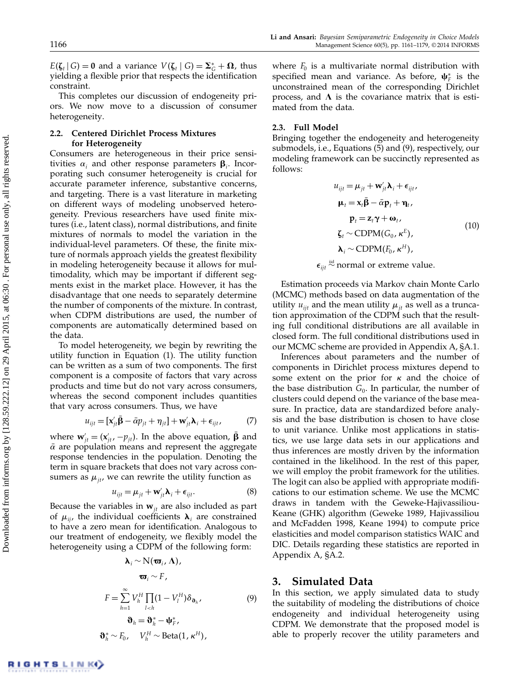$E(\zeta_t | G) = 0$  and a variance  $V(\zeta_t | G) = \Sigma_G^* + \Omega$ , thus yielding a flexible prior that respects the identification constraint.

This completes our discussion of endogeneity priors. We now move to a discussion of consumer heterogeneity.

# 2.2. Centered Dirichlet Process Mixtures for Heterogeneity

Consumers are heterogeneous in their price sensitivities  $\alpha_i$  and other response parameters  $\beta_i$ . Incorporating such consumer heterogeneity is crucial for accurate parameter inference, substantive concerns, and targeting. There is a vast literature in marketing on different ways of modeling unobserved heterogeneity. Previous researchers have used finite mixtures (i.e., latent class), normal distributions, and finite mixtures of normals to model the variation in the individual-level parameters. Of these, the finite mixture of normals approach yields the greatest flexibility in modeling heterogeneity because it allows for multimodality, which may be important if different segments exist in the market place. However, it has the disadvantage that one needs to separately determine the number of components of the mixture. In contrast, when CDPM distributions are used, the number of components are automatically determined based on the data.

To model heterogeneity, we begin by rewriting the utility function in Equation (1). The utility function can be written as a sum of two components. The first component is a composite of factors that vary across products and time but do not vary across consumers, whereas the second component includes quantities that vary across consumers. Thus, we have

$$
u_{ijt} = [\mathbf{x}_{jt}'\bar{\mathbf{\beta}} - \bar{\alpha}p_{jt} + \eta_{jt}] + \mathbf{w}_{jt}'\mathbf{\lambda}_i + \epsilon_{ijt},
$$
 (7)

where  $\mathbf{w}'_{jt} = (\mathbf{x}'_{jt}, -p_{jt})$ . In the above equation,  $\bar{\mathbf{\beta}}$  and  $\bar{\alpha}$  are population means and represent the aggregate response tendencies in the population. Denoting the term in square brackets that does not vary across consumers as  $\mu_{jt}$ , we can rewrite the utility function as

$$
u_{ijt} = \mu_{jt} + \mathbf{w}'_{jt}\mathbf{\lambda}_i + \epsilon_{ijt}.
$$
 (8)

Because the variables in  $w_{it}$  are also included as part of  $\mu_{ii}$ , the individual coefficients  $\lambda_i$  are constrained to have a zero mean for identification. Analogous to our treatment of endogeneity, we flexibly model the heterogeneity using a CDPM of the following form:

$$
\lambda_i \sim N(\boldsymbol{\varpi}_i, \boldsymbol{\Lambda}),
$$
  
\n
$$
\boldsymbol{\varpi}_i \sim F,
$$
  
\n
$$
F = \sum_{h=1}^{\infty} V_h^H \prod_{l < h} (1 - V_l^H) \delta_{\boldsymbol{\vartheta}_h},
$$
  
\n
$$
\boldsymbol{\vartheta}_h = \boldsymbol{\vartheta}_h^* - \boldsymbol{\psi}_r^*,
$$
  
\n
$$
\boldsymbol{\vartheta}_h^* \sim F_0, \quad V_h^H \sim \text{Beta}(1, \kappa^H),
$$
\n(9)

where  $F_0$  is a multivariate normal distribution with specified mean and variance. As before,  $\psi^*_{F}$  is the unconstrained mean of the corresponding Dirichlet process, and  $\Lambda$  is the covariance matrix that is estimated from the data.

# 2.3. Full Model

Bringing together the endogeneity and heterogeneity submodels, i.e., Equations (5) and (9), respectively, our modeling framework can be succinctly represented as follows:

$$
u_{ijt} = \mu_{jt} + \mathbf{w}_{jt}' \mathbf{\lambda}_i + \epsilon_{ijt},
$$
  
\n
$$
\mathbf{\mu}_t = \mathbf{x}_t \bar{\mathbf{\beta}} - \bar{\alpha} \mathbf{p}_t + \mathbf{\eta}_t,
$$
  
\n
$$
\mathbf{p}_t = \mathbf{z}_t \mathbf{\gamma} + \mathbf{\omega}_t,
$$
  
\n
$$
\zeta_t \sim \text{CDPM}(G_0, \kappa^E),
$$
  
\n
$$
\mathbf{\lambda}_i \sim \text{CDPM}(F_0, \kappa^H),
$$
  
\n
$$
d = \text{supp}(\mathbf{x}_t, \kappa^H).
$$
\n(10)

 $\epsilon_{ijt} \stackrel{iid}{\sim}$  normal or extreme value.

Estimation proceeds via Markov chain Monte Carlo (MCMC) methods based on data augmentation of the utility  $u_{ii}$  and the mean utility  $\mu_{it}$  as well as a truncation approximation of the CDPM such that the resulting full conditional distributions are all available in closed form. The full conditional distributions used in our MCMC scheme are provided in Appendix A, §A.1.

Inferences about parameters and the number of components in Dirichlet process mixtures depend to some extent on the prior for  $\kappa$  and the choice of the base distribution  $G_0$ . In particular, the number of clusters could depend on the variance of the base measure. In practice, data are standardized before analysis and the base distribution is chosen to have close to unit variance. Unlike most applications in statistics, we use large data sets in our applications and thus inferences are mostly driven by the information contained in the likelihood. In the rest of this paper, we will employ the probit framework for the utilities. The logit can also be applied with appropriate modifications to our estimation scheme. We use the MCMC draws in tandem with the Geweke-Hajivassiliou-Keane (GHK) algorithm (Geweke 1989, Hajivassiliou and McFadden 1998, Keane 1994) to compute price elasticities and model comparison statistics WAIC and DIC. Details regarding these statistics are reported in Appendix A, §A.2.

# 3. Simulated Data

In this section, we apply simulated data to study the suitability of modeling the distributions of choice endogeneity and individual heterogeneity using CDPM. We demonstrate that the proposed model is able to properly recover the utility parameters and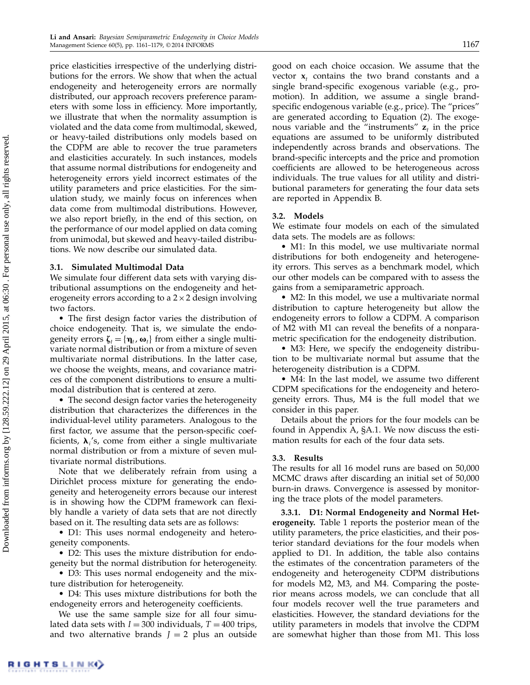price elasticities irrespective of the underlying distributions for the errors. We show that when the actual endogeneity and heterogeneity errors are normally distributed, our approach recovers preference parameters with some loss in efficiency. More importantly, we illustrate that when the normality assumption is violated and the data come from multimodal, skewed, or heavy-tailed distributions only models based on the CDPM are able to recover the true parameters and elasticities accurately. In such instances, models that assume normal distributions for endogeneity and heterogeneity errors yield incorrect estimates of the utility parameters and price elasticities. For the simulation study, we mainly focus on inferences when data come from multimodal distributions. However, we also report briefly, in the end of this section, on the performance of our model applied on data coming from unimodal, but skewed and heavy-tailed distributions. We now describe our simulated data.

# 3.1. Simulated Multimodal Data

We simulate four different data sets with varying distributional assumptions on the endogeneity and heterogeneity errors according to a  $2 \times 2$  design involving two factors.

• The first design factor varies the distribution of choice endogeneity. That is, we simulate the endogeneity errors  $\boldsymbol{\zeta}_t = {\boldsymbol{\eta}_t, \boldsymbol{\omega}_t}$  from either a single multivariate normal distribution or from a mixture of seven multivariate normal distributions. In the latter case, we choose the weights, means, and covariance matrices of the component distributions to ensure a multimodal distribution that is centered at zero.

• The second design factor varies the heterogeneity distribution that characterizes the differences in the individual-level utility parameters. Analogous to the first factor, we assume that the person-specific coefficients,  $\mathbf{\lambda}_i$ 's, come from either a single multivariate normal distribution or from a mixture of seven multivariate normal distributions.

Note that we deliberately refrain from using a Dirichlet process mixture for generating the endogeneity and heterogeneity errors because our interest is in showing how the CDPM framework can flexibly handle a variety of data sets that are not directly based on it. The resulting data sets are as follows:

• D1: This uses normal endogeneity and heterogeneity components.

• D2: This uses the mixture distribution for endogeneity but the normal distribution for heterogeneity.

• D3: This uses normal endogeneity and the mixture distribution for heterogeneity.

• D4: This uses mixture distributions for both the endogeneity errors and heterogeneity coefficients.

We use the same sample size for all four simulated data sets with  $I = 300$  individuals,  $T = 400$  trips, and two alternative brands  $J = 2$  plus an outside

good on each choice occasion. We assume that the vector  $x_t$  contains the two brand constants and a single brand-specific exogenous variable (e.g., promotion). In addition, we assume a single brandspecific endogenous variable (e.g., price). The "prices" are generated according to Equation (2). The exogenous variable and the "instruments"  $z_t$  in the price equations are assumed to be uniformly distributed independently across brands and observations. The brand-specific intercepts and the price and promotion coefficients are allowed to be heterogeneous across individuals. The true values for all utility and distributional parameters for generating the four data sets are reported in Appendix B.

# 3.2. Models

We estimate four models on each of the simulated data sets. The models are as follows:

• M1: In this model, we use multivariate normal distributions for both endogeneity and heterogeneity errors. This serves as a benchmark model, which our other models can be compared with to assess the gains from a semiparametric approach.

• M2: In this model, we use a multivariate normal distribution to capture heterogeneity but allow the endogeneity errors to follow a CDPM. A comparison of M2 with M1 can reveal the benefits of a nonparametric specification for the endogeneity distribution.

• M3: Here, we specify the endogeneity distribution to be multivariate normal but assume that the heterogeneity distribution is a CDPM.

• M4: In the last model, we assume two different CDPM specifications for the endogeneity and heterogeneity errors. Thus, M4 is the full model that we consider in this paper.

Details about the priors for the four models can be found in Appendix A, §A.1. We now discuss the estimation results for each of the four data sets.

# 3.3. Results

The results for all 16 model runs are based on 50,000 MCMC draws after discarding an initial set of 50,000 burn-in draws. Convergence is assessed by monitoring the trace plots of the model parameters.

3.3.1. D1: Normal Endogeneity and Normal Heterogeneity. Table 1 reports the posterior mean of the utility parameters, the price elasticities, and their posterior standard deviations for the four models when applied to D1. In addition, the table also contains the estimates of the concentration parameters of the endogeneity and heterogeneity CDPM distributions for models M2, M3, and M4. Comparing the posterior means across models, we can conclude that all four models recover well the true parameters and elasticities. However, the standard deviations for the utility parameters in models that involve the CDPM are somewhat higher than those from M1. This loss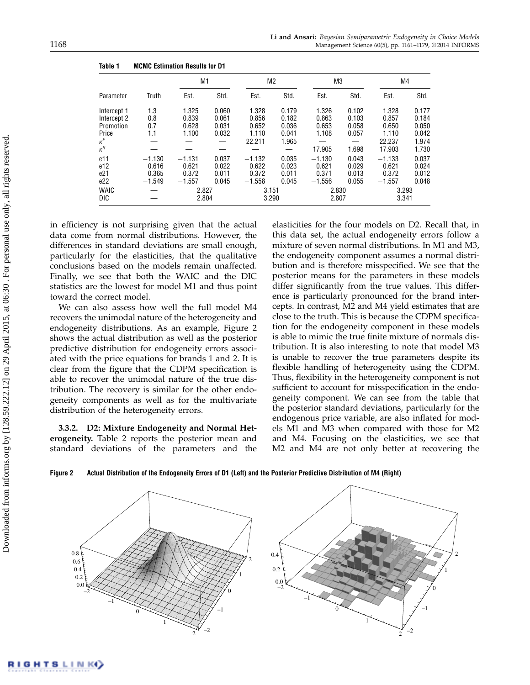|                       |          | M1       |       | M <sub>2</sub> |       | M3       |       | M4       |       |
|-----------------------|----------|----------|-------|----------------|-------|----------|-------|----------|-------|
| Parameter             | Truth    | Est.     | Std.  | Est.           | Std.  | Est.     | Std.  | Est.     | Std.  |
| Intercept 1           | 1.3      | 1.325    | 0.060 | 1.328          | 0.179 | 1.326    | 0.102 | 1.328    | 0.177 |
| Intercept 2           | 0.8      | 0.839    | 0.061 | 0.856          | 0.182 | 0.863    | 0.103 | 0.857    | 0.184 |
| Promotion             | 0.7      | 0.628    | 0.031 | 0.652          | 0.036 | 0.653    | 0.058 | 0.650    | 0.050 |
| Price                 | 1.1      | 1.100    | 0.032 | 1.110          | 0.041 | 1.108    | 0.057 | 1.110    | 0.042 |
| $\kappa^E$            |          |          |       | 22.211         | 1.965 |          |       | 22.237   | 1.974 |
| $\kappa$ <sup>H</sup> |          |          |       |                |       | 17.905   | 1.698 | 17.903   | 1.730 |
| e11                   | $-1.130$ | $-1.131$ | 0.037 | $-1.132$       | 0.035 | $-1.130$ | 0.043 | $-1.133$ | 0.037 |
| e12                   | 0.616    | 0.621    | 0.022 | 0.622          | 0.023 | 0.621    | 0.029 | 0.621    | 0.024 |
| e21                   | 0.365    | 0.372    | 0.011 | 0.372          | 0.011 | 0.371    | 0.013 | 0.372    | 0.012 |
| e22                   | $-1.549$ | $-1.557$ | 0.045 | $-1.558$       | 0.045 | $-1.556$ | 0.055 | $-1.557$ | 0.048 |
| <b>WAIC</b>           |          | 2.827    |       | 3.151          |       | 2.830    |       | 3.293    |       |
| <b>DIC</b>            |          | 2.804    |       | 3.290          |       | 2.807    |       | 3.341    |       |

Table 1 MCMC Estimation Results for D1

in efficiency is not surprising given that the actual data come from normal distributions. However, the differences in standard deviations are small enough, particularly for the elasticities, that the qualitative conclusions based on the models remain unaffected. Finally, we see that both the WAIC and the DIC statistics are the lowest for model M1 and thus point toward the correct model.

We can also assess how well the full model M4 recovers the unimodal nature of the heterogeneity and endogeneity distributions. As an example, Figure 2 shows the actual distribution as well as the posterior predictive distribution for endogeneity errors associated with the price equations for brands 1 and 2. It is clear from the figure that the CDPM specification is able to recover the unimodal nature of the true distribution. The recovery is similar for the other endogeneity components as well as for the multivariate distribution of the heterogeneity errors.

3.3.2. D2: Mixture Endogeneity and Normal Heterogeneity. Table 2 reports the posterior mean and standard deviations of the parameters and the

elasticities for the four models on D2. Recall that, in this data set, the actual endogeneity errors follow a mixture of seven normal distributions. In M1 and M3, the endogeneity component assumes a normal distribution and is therefore misspecified. We see that the posterior means for the parameters in these models differ significantly from the true values. This difference is particularly pronounced for the brand intercepts. In contrast, M2 and M4 yield estimates that are close to the truth. This is because the CDPM specification for the endogeneity component in these models is able to mimic the true finite mixture of normals distribution. It is also interesting to note that model M3 is unable to recover the true parameters despite its flexible handling of heterogeneity using the CDPM. Thus, flexibility in the heterogeneity component is not sufficient to account for misspecification in the endogeneity component. We can see from the table that the posterior standard deviations, particularly for the endogenous price variable, are also inflated for models M1 and M3 when compared with those for M2 and M4. Focusing on the elasticities, we see that M2 and M4 are not only better at recovering the

Figure 2 Actual Distribution of the Endogeneity Errors of D1 (Left) and the Posterior Predictive Distribution of M4 (Right)

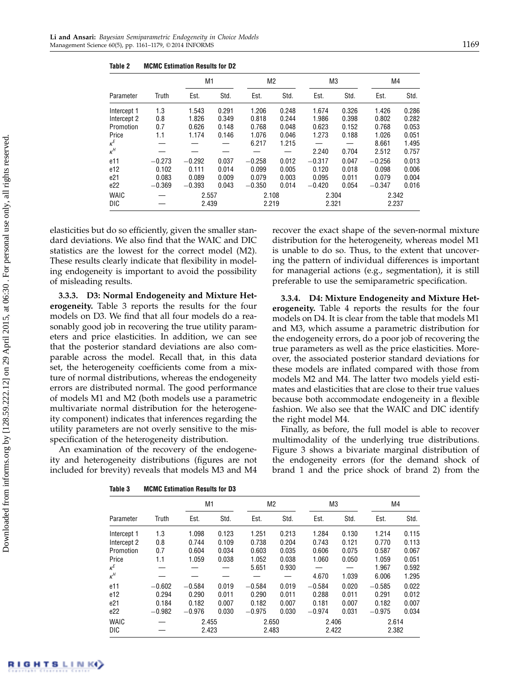|                       |          | M <sub>1</sub> |       | M <sub>2</sub> |       | M3       |       | M4       |       |
|-----------------------|----------|----------------|-------|----------------|-------|----------|-------|----------|-------|
| Parameter             | Truth    | Est.           | Std.  | Est.           | Std.  | Est.     | Std.  | Est.     | Std.  |
| Intercept 1           | 1.3      | 1.543          | 0.291 | 1.206          | 0.248 | 1.674    | 0.326 | 1.426    | 0.286 |
| Intercept 2           | 0.8      | 1.826          | 0.349 | 0.818          | 0.244 | 1.986    | 0.398 | 0.802    | 0.282 |
| Promotion             | 0.7      | 0.626          | 0.148 | 0.768          | 0.048 | 0.623    | 0.152 | 0.768    | 0.053 |
| Price                 | 1.1      | 1.174          | 0.146 | 1.076          | 0.046 | 1.273    | 0.188 | 1.026    | 0.051 |
| $\kappa^E$            |          |                |       | 6.217          | 1.215 |          |       | 8.661    | 1.495 |
| $\kappa$ <sup>H</sup> |          |                |       |                |       | 2.240    | 0.704 | 2.512    | 0.757 |
| e11                   | $-0.273$ | $-0.292$       | 0.037 | $-0.258$       | 0.012 | $-0.317$ | 0.047 | $-0.256$ | 0.013 |
| e12                   | 0.102    | 0.111          | 0.014 | 0.099          | 0.005 | 0.120    | 0.018 | 0.098    | 0.006 |
| e21                   | 0.083    | 0.089          | 0.009 | 0.079          | 0.003 | 0.095    | 0.011 | 0.079    | 0.004 |
| e22                   | $-0.369$ | $-0.393$       | 0.043 | $-0.350$       | 0.014 | $-0.420$ | 0.054 | $-0.347$ | 0.016 |
| <b>WAIC</b>           |          | 2.557          |       | 2.108          |       | 2.304    |       | 2.342    |       |
| <b>DIC</b>            |          | 2.439          |       | 2.219          |       | 2.321    |       | 2.237    |       |

| <b>MCMC Estimation Results for D2</b><br>Table 2 |
|--------------------------------------------------|
|--------------------------------------------------|

elasticities but do so efficiently, given the smaller standard deviations. We also find that the WAIC and DIC statistics are the lowest for the correct model (M2). These results clearly indicate that flexibility in modeling endogeneity is important to avoid the possibility of misleading results.

3.3.3. D3: Normal Endogeneity and Mixture Heterogeneity. Table 3 reports the results for the four models on D3. We find that all four models do a reasonably good job in recovering the true utility parameters and price elasticities. In addition, we can see that the posterior standard deviations are also comparable across the model. Recall that, in this data set, the heterogeneity coefficients come from a mixture of normal distributions, whereas the endogeneity errors are distributed normal. The good performance of models M1 and M2 (both models use a parametric multivariate normal distribution for the heterogeneity component) indicates that inferences regarding the utility parameters are not overly sensitive to the misspecification of the heterogeneity distribution.

An examination of the recovery of the endogeneity and heterogeneity distributions (figures are not included for brevity) reveals that models M3 and M4

recover the exact shape of the seven-normal mixture distribution for the heterogeneity, whereas model M1 is unable to do so. Thus, to the extent that uncovering the pattern of individual differences is important for managerial actions (e.g., segmentation), it is still preferable to use the semiparametric specification.

3.3.4. D4: Mixture Endogeneity and Mixture Heterogeneity. Table 4 reports the results for the four models on D4. It is clear from the table that models M1 and M3, which assume a parametric distribution for the endogeneity errors, do a poor job of recovering the true parameters as well as the price elasticities. Moreover, the associated posterior standard deviations for these models are inflated compared with those from models M2 and M4. The latter two models yield estimates and elasticities that are close to their true values because both accommodate endogeneity in a flexible fashion. We also see that the WAIC and DIC identify the right model M4.

Finally, as before, the full model is able to recover multimodality of the underlying true distributions. Figure 3 shows a bivariate marginal distribution of the endogeneity errors (for the demand shock of brand 1 and the price shock of brand 2) from the

Table 3 MCMC Estimation Results for D3

| IANIC J               |          | MUMU LSUMANUM RESURS IVI DJ |       |          |                |          |                |          |       |  |
|-----------------------|----------|-----------------------------|-------|----------|----------------|----------|----------------|----------|-------|--|
|                       |          |                             | M1    |          | M <sub>2</sub> |          | M <sub>3</sub> |          | M4    |  |
| Parameter             | Truth    | Est.                        | Std.  | Est.     | Std.           | Est.     | Std.           | Est.     | Std.  |  |
| Intercept 1           | 1.3      | 1.098                       | 0.123 | 1.251    | 0.213          | 1.284    | 0.130          | 1.214    | 0.115 |  |
| Intercept 2           | 0.8      | 0.744                       | 0.109 | 0.738    | 0.204          | 0.743    | 0.121          | 0.770    | 0.113 |  |
| Promotion             | 0.7      | 0.604                       | 0.034 | 0.603    | 0.035          | 0.606    | 0.075          | 0.587    | 0.067 |  |
| Price                 | 1.1      | 1.059                       | 0.038 | 1.052    | 0.038          | 1.060    | 0.050          | 1.059    | 0.051 |  |
| $\kappa^E$            |          |                             |       | 5.651    | 0.930          |          |                | 1.967    | 0.592 |  |
| $\kappa$ <sup>H</sup> |          |                             |       |          |                | 4.670    | 1.039          | 6.006    | 1.295 |  |
| e11                   | $-0.602$ | $-0.584$                    | 0.019 | $-0.584$ | 0.019          | $-0.584$ | 0.020          | $-0.585$ | 0.022 |  |
| e12                   | 0.294    | 0.290                       | 0.011 | 0.290    | 0.011          | 0.288    | 0.011          | 0.291    | 0.012 |  |
| e21                   | 0.184    | 0.182                       | 0.007 | 0.182    | 0.007          | 0.181    | 0.007          | 0.182    | 0.007 |  |
| e22                   | $-0.982$ | $-0.976$                    | 0.030 | $-0.975$ | 0.030          | $-0.974$ | 0.031          | $-0.975$ | 0.034 |  |
| <b>WAIC</b>           |          | 2.455                       |       | 2.650    |                | 2.406    |                | 2.614    |       |  |
| <b>DIC</b>            |          | 2.423                       |       | 2.483    |                | 2.422    |                | 2.382    |       |  |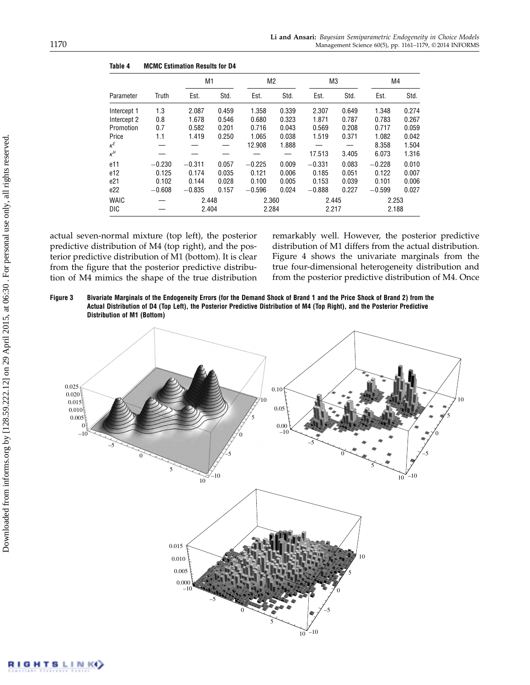|                       |          |          | M <sub>1</sub> |          | M <sub>2</sub> |          | M <sub>3</sub> |          | M4    |  |
|-----------------------|----------|----------|----------------|----------|----------------|----------|----------------|----------|-------|--|
| Parameter             | Truth    | Est.     | Std.           | Est.     | Std.           | Est.     | Std.           | Est.     | Std.  |  |
| Intercept 1           | 1.3      | 2.087    | 0.459          | 1.358    | 0.339          | 2.307    | 0.649          | 1.348    | 0.274 |  |
| Intercept 2           | 0.8      | 1.678    | 0.546          | 0.680    | 0.323          | 1.871    | 0.787          | 0.783    | 0.267 |  |
| Promotion             | 0.7      | 0.582    | 0.201          | 0.716    | 0.043          | 0.569    | 0.208          | 0.717    | 0.059 |  |
| Price                 | 1.1      | 1.419    | 0.250          | 1.065    | 0.038          | 1.519    | 0.371          | 1.082    | 0.042 |  |
| $\kappa^E$            |          |          |                | 12.908   | 1.888          |          | —              | 8.358    | 1.504 |  |
| $\kappa$ <sup>H</sup> |          |          |                |          |                | 17.513   | 3.405          | 6.073    | 1.316 |  |
| e11                   | $-0.230$ | $-0.311$ | 0.057          | $-0.225$ | 0.009          | $-0.331$ | 0.083          | $-0.228$ | 0.010 |  |
| e12                   | 0.125    | 0.174    | 0.035          | 0.121    | 0.006          | 0.185    | 0.051          | 0.122    | 0.007 |  |
| e21                   | 0.102    | 0.144    | 0.028          | 0.100    | 0.005          | 0.153    | 0.039          | 0.101    | 0.006 |  |
| e22                   | $-0.608$ | $-0.835$ | 0.157          | $-0.596$ | 0.024          | $-0.888$ | 0.227          | $-0.599$ | 0.027 |  |
| <b>WAIC</b>           |          | 2.448    |                | 2.360    |                | 2.445    |                | 2.253    |       |  |
| <b>DIC</b>            |          | 2.404    |                | 2.284    |                | 2.217    |                | 2.188    |       |  |

Table 4 MCMC Estimation Results for D4

actual seven-normal mixture (top left), the posterior predictive distribution of M4 (top right), and the posterior predictive distribution of M1 (bottom). It is clear from the figure that the posterior predictive distribution of M4 mimics the shape of the true distribution remarkably well. However, the posterior predictive distribution of M1 differs from the actual distribution. Figure 4 shows the univariate marginals from the true four-dimensional heterogeneity distribution and from the posterior predictive distribution of M4. Once



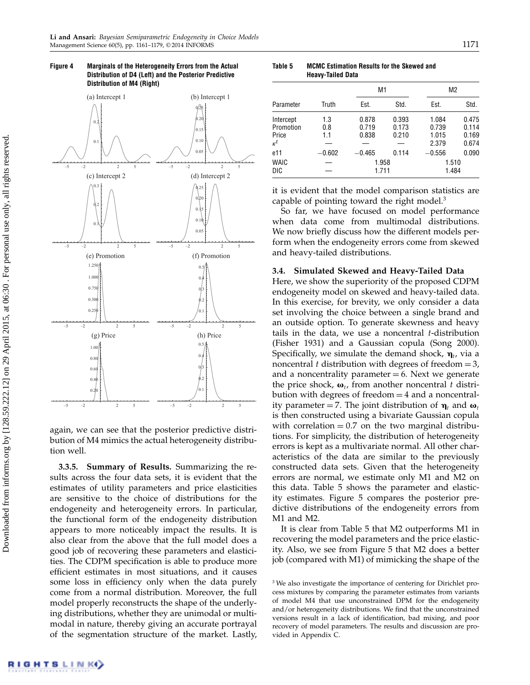

Figure 4 Marginals of the Heterogeneity Errors from the Actual Distribution of D4 (Left) and the Posterior Predictive

again, we can see that the posterior predictive distribution of M4 mimics the actual heterogeneity distribution well.

3.3.5. Summary of Results. Summarizing the results across the four data sets, it is evident that the estimates of utility parameters and price elasticities are sensitive to the choice of distributions for the endogeneity and heterogeneity errors. In particular, the functional form of the endogeneity distribution appears to more noticeably impact the results. It is also clear from the above that the full model does a good job of recovering these parameters and elasticities. The CDPM specification is able to produce more efficient estimates in most situations, and it causes some loss in efficiency only when the data purely come from a normal distribution. Moreover, the full model properly reconstructs the shape of the underlying distributions, whether they are unimodal or multimodal in nature, thereby giving an accurate portrayal of the segmentation structure of the market. Lastly,

Table 5 MCMC Estimation Results for the Skewed and Heavy-Tailed Data

|             |          | M1       |       |          | M <sub>2</sub> |  |
|-------------|----------|----------|-------|----------|----------------|--|
| Parameter   | Truth    | Est.     | Std.  | Est.     | Std.           |  |
| Intercept   | 1.3      | 0.878    | 0.393 | 1.084    | 0.475          |  |
| Promotion   | 0.8      | 0.719    | 0.173 | 0.739    | 0.114          |  |
| Price       | 1.1      | 0.838    | 0.210 | 1.015    | 0.169          |  |
| $\kappa^E$  |          |          |       | 2.379    | 0.674          |  |
| e11         | $-0.602$ | $-0.465$ | 0.114 | $-0.556$ | 0.090          |  |
| <b>WAIC</b> |          | 1.958    |       | 1.510    |                |  |
| DIC         |          | 1.711    |       | 1.484    |                |  |

it is evident that the model comparison statistics are capable of pointing toward the right model.<sup>3</sup>

So far, we have focused on model performance when data come from multimodal distributions. We now briefly discuss how the different models perform when the endogeneity errors come from skewed and heavy-tailed distributions.

### 3.4. Simulated Skewed and Heavy-Tailed Data

Here, we show the superiority of the proposed CDPM endogeneity model on skewed and heavy-tailed data. In this exercise, for brevity, we only consider a data set involving the choice between a single brand and an outside option. To generate skewness and heavy tails in the data, we use a noncentral t-distribution (Fisher 1931) and a Gaussian copula (Song 2000). Specifically, we simulate the demand shock,  $\eta_{\scriptscriptstyle{t}}$ , via a noncentral t distribution with degrees of freedom  $= 3$ , and a noncentrality parameter  $= 6$ . Next we generate the price shock,  $\boldsymbol{\omega}_t$ , from another noncentral t distribution with degrees of freedom  $=$  4 and a noncentrality parameter = 7. The joint distribution of  $\mathbf{\eta}_t$  and  $\mathbf{\omega}_t$ is then constructed using a bivariate Gaussian copula with correlation  $= 0.7$  on the two marginal distributions. For simplicity, the distribution of heterogeneity errors is kept as a multivariate normal. All other characteristics of the data are similar to the previously constructed data sets. Given that the heterogeneity errors are normal, we estimate only M1 and M2 on this data. Table 5 shows the parameter and elasticity estimates. Figure 5 compares the posterior predictive distributions of the endogeneity errors from M1 and M2.

It is clear from Table 5 that M2 outperforms M1 in recovering the model parameters and the price elasticity. Also, we see from Figure 5 that M2 does a better job (compared with M1) of mimicking the shape of the

<sup>&</sup>lt;sup>3</sup> We also investigate the importance of centering for Dirichlet process mixtures by comparing the parameter estimates from variants of model M4 that use unconstrained DPM for the endogeneity and/or heterogeneity distributions. We find that the unconstrained versions result in a lack of identification, bad mixing, and poor recovery of model parameters. The results and discussion are provided in Appendix C.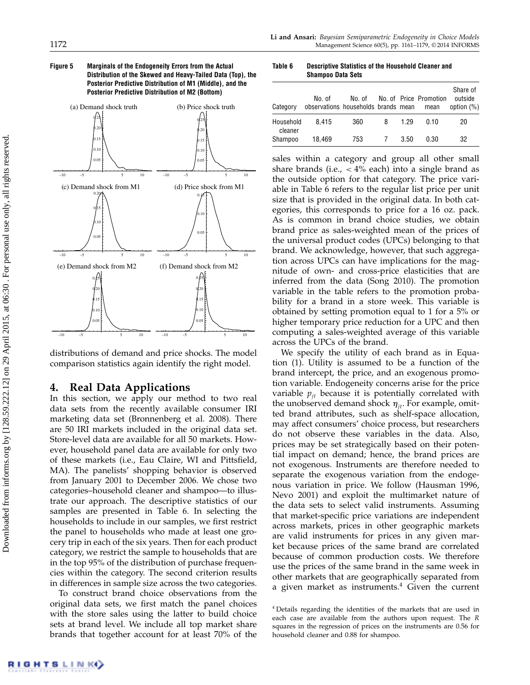Figure 5 Marginals of the Endogeneity Errors from the Actual Distribution of the Skewed and Heavy-Tailed Data (Top), the Posterior Predictive Distribution of M1 (Middle), and the Posterior Predictive Distribution of M2 (Bottom)



distributions of demand and price shocks. The model comparison statistics again identify the right model.

# 4. Real Data Applications

In this section, we apply our method to two real data sets from the recently available consumer IRI marketing data set (Bronnenberg et al. 2008). There are 50 IRI markets included in the original data set. Store-level data are available for all 50 markets. However, household panel data are available for only two of these markets (i.e., Eau Claire, WI and Pittsfield, MA). The panelists' shopping behavior is observed from January 2001 to December 2006. We chose two categories–household cleaner and shampoo—to illustrate our approach. The descriptive statistics of our samples are presented in Table 6. In selecting the households to include in our samples, we first restrict the panel to households who made at least one grocery trip in each of the six years. Then for each product category, we restrict the sample to households that are in the top 95% of the distribution of purchase frequencies within the category. The second criterion results in differences in sample size across the two categories.

To construct brand choice observations from the original data sets, we first match the panel choices with the store sales using the latter to build choice sets at brand level. We include all top market share brands that together account for at least 70% of the

Table 6 Descriptive Statistics of the Household Cleaner and Shampoo Data Sets

| Category           | No. of<br>observations households brands mean | No. of |   |      | No. of Price Promotion<br>mean | Share of<br>outside<br>option $(\% )$ |
|--------------------|-----------------------------------------------|--------|---|------|--------------------------------|---------------------------------------|
| Household          | 8.415                                         | 360    | 8 | 1.29 | 0.10                           | 20                                    |
| cleaner<br>Shampoo | 18.469                                        | 753    |   | 3.50 | 0.30                           | 32                                    |

sales within a category and group all other small share brands (i.e.,  $\langle 4\%$  each) into a single brand as the outside option for that category. The price variable in Table 6 refers to the regular list price per unit size that is provided in the original data. In both categories, this corresponds to price for a 16 oz. pack. As is common in brand choice studies, we obtain brand price as sales-weighted mean of the prices of the universal product codes (UPCs) belonging to that brand. We acknowledge, however, that such aggregation across UPCs can have implications for the magnitude of own- and cross-price elasticities that are inferred from the data (Song 2010). The promotion variable in the table refers to the promotion probability for a brand in a store week. This variable is obtained by setting promotion equal to 1 for a 5% or higher temporary price reduction for a UPC and then computing a sales-weighted average of this variable across the UPCs of the brand.

We specify the utility of each brand as in Equation (1). Utility is assumed to be a function of the brand intercept, the price, and an exogenous promotion variable. Endogeneity concerns arise for the price variable  $p_{it}$  because it is potentially correlated with the unobserved demand shock  $\eta_{it}$ . For example, omitted brand attributes, such as shelf-space allocation, may affect consumers' choice process, but researchers do not observe these variables in the data. Also, prices may be set strategically based on their potential impact on demand; hence, the brand prices are not exogenous. Instruments are therefore needed to separate the exogenous variation from the endogenous variation in price. We follow (Hausman 1996, Nevo 2001) and exploit the multimarket nature of the data sets to select valid instruments. Assuming that market-specific price variations are independent across markets, prices in other geographic markets are valid instruments for prices in any given market because prices of the same brand are correlated because of common production costs. We therefore use the prices of the same brand in the same week in other markets that are geographically separated from a given market as instruments. $4$  Given the current

<sup>4</sup> Details regarding the identities of the markets that are used in each case are available from the authors upon request. The R squares in the regression of prices on the instruments are 0.56 for household cleaner and 0.88 for shampoo.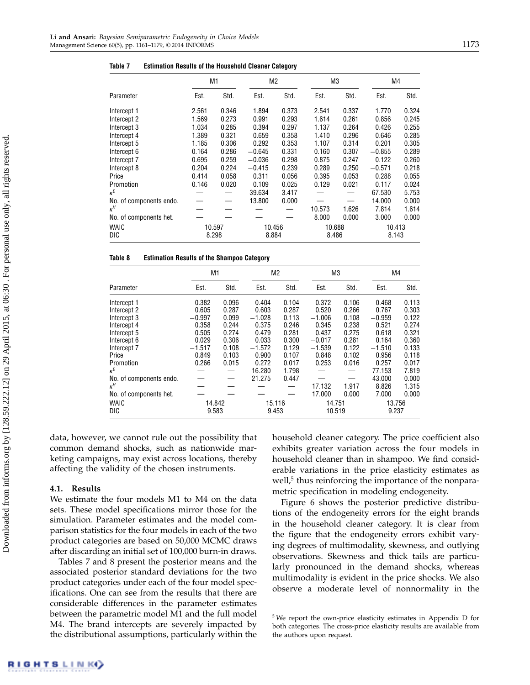|                         | M1    |        | M <sub>2</sub> |       | M <sub>3</sub> |       | M4       |       |
|-------------------------|-------|--------|----------------|-------|----------------|-------|----------|-------|
| Parameter               | Est.  | Std.   | Est.           | Std.  | Est.           | Std.  | Est.     | Std.  |
| Intercept 1             | 2.561 | 0.346  | 1.894          | 0.373 | 2.541          | 0.337 | 1.770    | 0.324 |
| Intercept 2             | 1.569 | 0.273  | 0.991          | 0.293 | 1.614          | 0.261 | 0.856    | 0.245 |
| Intercept 3             | 1.034 | 0.285  | 0.394          | 0.297 | 1.137          | 0.264 | 0.426    | 0.255 |
| Intercept 4             | 1.389 | 0.321  | 0.659          | 0.358 | 1.410          | 0.296 | 0.646    | 0.285 |
| Intercept 5             | 1.185 | 0.306  | 0.292          | 0.353 | 1.107          | 0.314 | 0.201    | 0.305 |
| Intercept 6             | 0.164 | 0.286  | $-0.645$       | 0.331 | 0.160          | 0.307 | $-0.855$ | 0.289 |
| Intercept 7             | 0.695 | 0.259  | $-0.036$       | 0.298 | 0.875          | 0.247 | 0.122    | 0.260 |
| Intercept 8             | 0.204 | 0.224  | $-0.415$       | 0.239 | 0.289          | 0.250 | $-0.571$ | 0.218 |
| Price                   | 0.414 | 0.058  | 0.311          | 0.056 | 0.395          | 0.053 | 0.288    | 0.055 |
| Promotion               | 0.146 | 0.020  | 0.109          | 0.025 | 0.129          | 0.021 | 0.117    | 0.024 |
| $\kappa^E$              |       |        | 39.634         | 3.417 |                |       | 67.530   | 5.753 |
| No. of components endo. |       |        | 13.800         | 0.000 |                |       | 14.000   | 0.000 |
| $\kappa$ <sup>H</sup>   |       |        |                |       | 10.573         | 1.626 | 7.814    | 1.614 |
| No. of components het.  |       |        |                |       | 8.000          | 0.000 | 3.000    | 0.000 |
| <b>WAIC</b>             |       | 10.597 | 10.456         |       | 10.688         |       | 10.413   |       |
| DIC                     |       | 8.298  | 8.884          |       | 8.486          |       | 8.143    |       |

Table 7 Estimation Results of the Household Cleaner Category

| <b>Estimation Results of the Shampoo Category</b> | Table 8 |  |  |  |  |
|---------------------------------------------------|---------|--|--|--|--|
|---------------------------------------------------|---------|--|--|--|--|

|                         | M <sub>1</sub> |       | M <sub>2</sub> |       | M <sub>3</sub> |       | M4       |       |
|-------------------------|----------------|-------|----------------|-------|----------------|-------|----------|-------|
| Parameter               | Est.           | Std.  | Est.           | Std.  | Est.           | Std.  | Est.     | Std.  |
| Intercept 1             | 0.382          | 0.096 | 0.404          | 0.104 | 0.372          | 0.106 | 0.468    | 0.113 |
| Intercept 2             | 0.605          | 0.287 | 0.603          | 0.287 | 0.520          | 0.266 | 0.767    | 0.303 |
| Intercept 3             | $-0.997$       | 0.099 | $-1.028$       | 0.113 | $-1.006$       | 0.108 | $-0.959$ | 0.122 |
| Intercept 4             | 0.358          | 0.244 | 0.375          | 0.246 | 0.345          | 0.238 | 0.521    | 0.274 |
| Intercept 5             | 0.505          | 0.274 | 0.479          | 0.281 | 0.437          | 0.275 | 0.618    | 0.321 |
| Intercept 6             | 0.029          | 0.306 | 0.033          | 0.300 | $-0.017$       | 0.281 | 0.164    | 0.360 |
| Intercept 7             | $-1.517$       | 0.108 | $-1.572$       | 0.129 | $-1.539$       | 0.122 | $-1.510$ | 0.133 |
| Price                   | 0.849          | 0.103 | 0.900          | 0.107 | 0.848          | 0.102 | 0.956    | 0.118 |
| Promotion               | 0.266          | 0.015 | 0.272          | 0.017 | 0.253          | 0.016 | 0.257    | 0.017 |
| $\kappa^E$              |                |       | 16.280         | 1.798 |                |       | 77.153   | 7.819 |
| No. of components endo. |                |       | 21.275         | 0.447 |                |       | 43.000   | 0.000 |
| $\kappa$ <sup>H</sup>   |                |       |                |       | 17.132         | 1.917 | 8.826    | 1.315 |
| No. of components het.  |                |       |                |       | 17.000         | 0.000 | 7.000    | 0.000 |
| <b>WAIC</b>             | 14.842         |       | 15.116         |       | 14.751         |       | 13.756   |       |
| <b>DIC</b>              | 9.583          |       | 9.453          |       | 10.519         |       | 9.237    |       |

data, however, we cannot rule out the possibility that common demand shocks, such as nationwide marketing campaigns, may exist across locations, thereby affecting the validity of the chosen instruments.

# 4.1. Results

We estimate the four models M1 to M4 on the data sets. These model specifications mirror those for the simulation. Parameter estimates and the model comparison statistics for the four models in each of the two product categories are based on 50,000 MCMC draws after discarding an initial set of 100,000 burn-in draws.

Tables 7 and 8 present the posterior means and the associated posterior standard deviations for the two product categories under each of the four model specifications. One can see from the results that there are considerable differences in the parameter estimates between the parametric model M1 and the full model M4. The brand intercepts are severely impacted by the distributional assumptions, particularly within the household cleaner category. The price coefficient also exhibits greater variation across the four models in household cleaner than in shampoo. We find considerable variations in the price elasticity estimates as well,<sup>5</sup> thus reinforcing the importance of the nonparametric specification in modeling endogeneity.

Figure 6 shows the posterior predictive distributions of the endogeneity errors for the eight brands in the household cleaner category. It is clear from the figure that the endogeneity errors exhibit varying degrees of multimodality, skewness, and outlying observations. Skewness and thick tails are particularly pronounced in the demand shocks, whereas multimodality is evident in the price shocks. We also observe a moderate level of nonnormality in the

<sup>5</sup> We report the own-price elasticity estimates in Appendix D for both categories. The cross-price elasticity results are available from the authors upon request.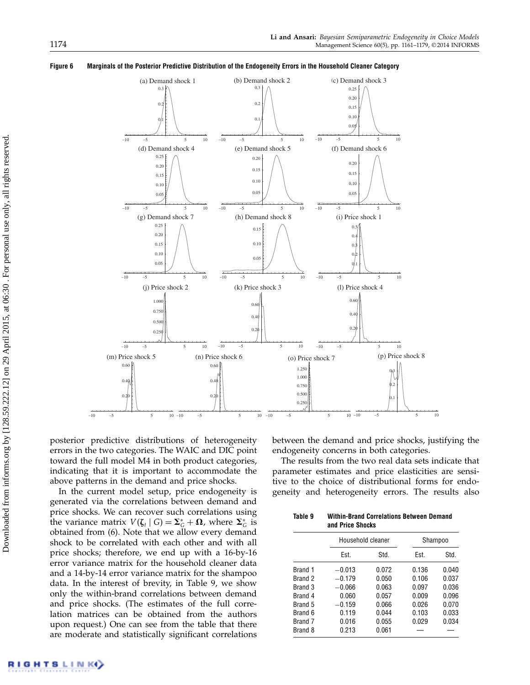

#### Figure 6 Marginals of the Posterior Predictive Distribution of the Endogeneity Errors in the Household Cleaner Category

posterior predictive distributions of heterogeneity errors in the two categories. The WAIC and DIC point toward the full model M4 in both product categories, indicating that it is important to accommodate the above patterns in the demand and price shocks.

In the current model setup, price endogeneity is generated via the correlations between demand and price shocks. We can recover such correlations using the variance matrix  $V(\zeta_t | G) = \Sigma_G^* + \Omega$ , where  $\Sigma_G^*$  is obtained from (6). Note that we allow every demand shock to be correlated with each other and with all price shocks; therefore, we end up with a 16-by-16 error variance matrix for the household cleaner data and a 14-by-14 error variance matrix for the shampoo data. In the interest of brevity, in Table 9, we show only the within-brand correlations between demand and price shocks. (The estimates of the full correlation matrices can be obtained from the authors upon request.) One can see from the table that there are moderate and statistically significant correlations between the demand and price shocks, justifying the endogeneity concerns in both categories.

The results from the two real data sets indicate that parameter estimates and price elasticities are sensitive to the choice of distributional forms for endogeneity and heterogeneity errors. The results also

| Table 9 | <b>Within-Brand Correlations Between Demand</b> |
|---------|-------------------------------------------------|
|         | and Price Shocks                                |

|         | Household cleaner |       |       | Shampoo |
|---------|-------------------|-------|-------|---------|
|         | Est.              | Std.  | Est.  | Std.    |
| Brand 1 | $-0.013$          | 0.072 | 0.136 | 0.040   |
| Brand 2 | $-0.179$          | 0.050 | 0.106 | 0.037   |
| Brand 3 | $-0.066$          | 0.063 | 0.097 | 0.036   |
| Brand 4 | 0.060             | 0.057 | 0.009 | 0.096   |
| Brand 5 | $-0.159$          | 0.066 | 0.026 | 0.070   |
| Brand 6 | 0.119             | 0.044 | 0.103 | 0.033   |
| Brand 7 | 0.016             | 0.055 | 0.029 | 0.034   |
| Brand 8 | 0.213             | 0.061 |       |         |
|         |                   |       |       |         |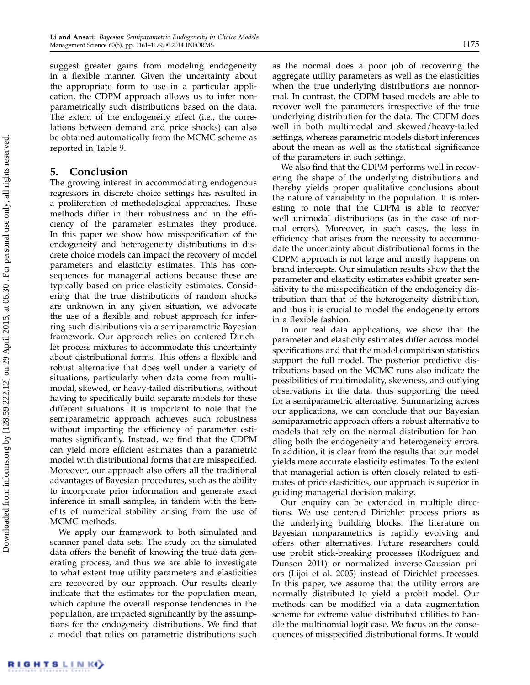suggest greater gains from modeling endogeneity in a flexible manner. Given the uncertainty about the appropriate form to use in a particular application, the CDPM approach allows us to infer nonparametrically such distributions based on the data. The extent of the endogeneity effect (i.e., the correlations between demand and price shocks) can also be obtained automatically from the MCMC scheme as reported in Table 9.

# 5. Conclusion

The growing interest in accommodating endogenous regressors in discrete choice settings has resulted in a proliferation of methodological approaches. These methods differ in their robustness and in the efficiency of the parameter estimates they produce. In this paper we show how misspecification of the endogeneity and heterogeneity distributions in discrete choice models can impact the recovery of model parameters and elasticity estimates. This has consequences for managerial actions because these are typically based on price elasticity estimates. Considering that the true distributions of random shocks are unknown in any given situation, we advocate the use of a flexible and robust approach for inferring such distributions via a semiparametric Bayesian framework. Our approach relies on centered Dirichlet process mixtures to accommodate this uncertainty about distributional forms. This offers a flexible and robust alternative that does well under a variety of situations, particularly when data come from multimodal, skewed, or heavy-tailed distributions, without having to specifically build separate models for these different situations. It is important to note that the semiparametric approach achieves such robustness without impacting the efficiency of parameter estimates significantly. Instead, we find that the CDPM can yield more efficient estimates than a parametric model with distributional forms that are misspecified. Moreover, our approach also offers all the traditional advantages of Bayesian procedures, such as the ability to incorporate prior information and generate exact inference in small samples, in tandem with the benefits of numerical stability arising from the use of MCMC methods.

We apply our framework to both simulated and scanner panel data sets. The study on the simulated data offers the benefit of knowing the true data generating process, and thus we are able to investigate to what extent true utility parameters and elasticities are recovered by our approach. Our results clearly indicate that the estimates for the population mean, which capture the overall response tendencies in the population, are impacted significantly by the assumptions for the endogeneity distributions. We find that a model that relies on parametric distributions such

as the normal does a poor job of recovering the aggregate utility parameters as well as the elasticities when the true underlying distributions are nonnormal. In contrast, the CDPM based models are able to recover well the parameters irrespective of the true underlying distribution for the data. The CDPM does well in both multimodal and skewed/heavy-tailed settings, whereas parametric models distort inferences about the mean as well as the statistical significance of the parameters in such settings.

We also find that the CDPM performs well in recovering the shape of the underlying distributions and thereby yields proper qualitative conclusions about the nature of variability in the population. It is interesting to note that the CDPM is able to recover well unimodal distributions (as in the case of normal errors). Moreover, in such cases, the loss in efficiency that arises from the necessity to accommodate the uncertainty about distributional forms in the CDPM approach is not large and mostly happens on brand intercepts. Our simulation results show that the parameter and elasticity estimates exhibit greater sensitivity to the misspecification of the endogeneity distribution than that of the heterogeneity distribution, and thus it is crucial to model the endogeneity errors in a flexible fashion.

In our real data applications, we show that the parameter and elasticity estimates differ across model specifications and that the model comparison statistics support the full model. The posterior predictive distributions based on the MCMC runs also indicate the possibilities of multimodality, skewness, and outlying observations in the data, thus supporting the need for a semiparametric alternative. Summarizing across our applications, we can conclude that our Bayesian semiparametric approach offers a robust alternative to models that rely on the normal distribution for handling both the endogeneity and heterogeneity errors. In addition, it is clear from the results that our model yields more accurate elasticity estimates. To the extent that managerial action is often closely related to estimates of price elasticities, our approach is superior in guiding managerial decision making.

Our enquiry can be extended in multiple directions. We use centered Dirichlet process priors as the underlying building blocks. The literature on Bayesian nonparametrics is rapidly evolving and offers other alternatives. Future researchers could use probit stick-breaking processes (Rodríguez and Dunson 2011) or normalized inverse-Gaussian priors (Lijoi et al. 2005) instead of Dirichlet processes. In this paper, we assume that the utility errors are normally distributed to yield a probit model. Our methods can be modified via a data augmentation scheme for extreme value distributed utilities to handle the multinomial logit case. We focus on the consequences of misspecified distributional forms. It would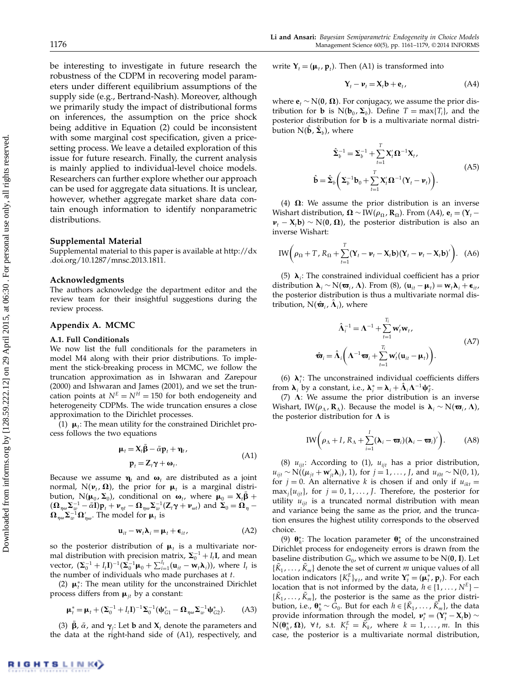be interesting to investigate in future research the robustness of the CDPM in recovering model parameters under different equilibrium assumptions of the supply side (e.g., Bertrand-Nash). Moreover, although we primarily study the impact of distributional forms on inferences, the assumption on the price shock being additive in Equation (2) could be inconsistent with some marginal cost specification, given a pricesetting process. We leave a detailed exploration of this issue for future research. Finally, the current analysis is mainly applied to individual-level choice models. Researchers can further explore whether our approach can be used for aggregate data situations. It is unclear, however, whether aggregate market share data contain enough information to identify nonparametric distributions.

#### Supplemental Material

Supplemental material to this paper is available at http://dx .doi.org/10.1287/mnsc.2013.1811.

#### Acknowledgments

The authors acknowledge the department editor and the review team for their insightful suggestions during the review process.

#### Appendix A. MCMC

#### A.1. Full Conditionals

Ì

We now list the full conditionals for the parameters in model M4 along with their prior distributions. To implement the stick-breaking process in MCMC, we follow the truncation approximation as in Ishwaran and Zarepour (2000) and Ishwaran and James (2001), and we set the truncation points at  $N^E = N^H = 150$  for both endogeneity and heterogeneity CDPMs. The wide truncation ensures a close approximation to the Dirichlet processes.

(1)  $\mu_t$ : The mean utility for the constrained Dirichlet process follows the two equations

$$
\mu_{t} = X_{t} \bar{\beta} - \bar{\alpha} p_{t} + \eta_{t},
$$
  
\n
$$
p_{t} = Z_{t} \gamma + \omega_{t}.
$$
 (A1)

Because we assume  $\eta_t$  and  $\omega_t$  are distributed as a joint normal,  $N(\nu_t, \Omega)$ , the prior for  $\mu_t$  is a marginal distribution,  $N(\mu_0, \Sigma_0)$ , conditional on  $\omega_t$ , where  $\mu_0 = X_t \bar{B} +$  $(\boldsymbol{\Omega}_{\eta\omega}\boldsymbol{\Sigma}_{w}^{-1}-\bar{\alpha}\mathbf{I})\mathbf{p}_{t}+\boldsymbol{\nu}_{\eta t}-\boldsymbol{\Omega}_{\eta\omega}\boldsymbol{\Sigma}_{w}^{-1}(\mathbf{Z}_{t}\boldsymbol{\gamma}+\boldsymbol{\nu}_{\omega t})$  and  $\boldsymbol{\Sigma}_{0}=\boldsymbol{\Omega}_{\eta} {\boldsymbol \Omega}_{\eta\omega} {\boldsymbol \Sigma}_{w}^{-1} {\boldsymbol \Omega}_{\eta\omega}^\prime.$  The model for  ${\boldsymbol \mu}_t$  is

$$
\mathbf{u}_{it} - \mathbf{w}_t \mathbf{\lambda}_i = \mathbf{\mu}_t + \boldsymbol{\epsilon}_{it}, \tag{A2}
$$

so the posterior distribution of  $\boldsymbol{\mu}_t$  is a multivariate normal distribution with precision matrix,  $\Sigma_0^{-1} + I_t \mathbf{I}$ , and mean vector,  $(\mathbf{\Sigma}_0^{-1} + I_t \mathbf{I})^{-1} (\mathbf{\Sigma}_0^{-1} \boldsymbol{\mu}_0 + \sum_{i=1}^{I_t} (\mathbf{u}_{it} - \mathbf{w}_t \boldsymbol{\lambda}_i))$ , where  $I_t$  is the number of individuals who made purchases at  $t$ .

(2)  $\mu_i^*$ : The mean utility for the unconstrained Dirichlet process differs from  $\boldsymbol{\mu}_{it}$  by a constant:

$$
\mathbf{u}_{t}^{*} = \mathbf{\mu}_{t} + (\mathbf{\Sigma}_{0}^{-1} + I_{t}\mathbf{I})^{-1}\mathbf{\Sigma}_{0}^{-1}(\mathbf{\psi}_{G1}^{*} - \mathbf{\Omega}_{\eta\omega}\mathbf{\Sigma}_{w}^{-1}\mathbf{\psi}_{G2}^{*}).
$$
 (A3)

(3)  $\bar{\beta}$ ,  $\bar{\alpha}$ , and  $\gamma_j$ : Let **b** and  $X_i$  denote the parameters and the data at the right-hand side of (A1), respectively, and write  $\mathbf{Y}_t = (\boldsymbol{\mu}_t, \boldsymbol{p}_t)$ . Then (A1) is transformed into

$$
\mathbf{Y}_t - \mathbf{v}_t = \mathbf{X}_t \mathbf{b} + \mathbf{e}_t, \tag{A4}
$$

where  ${\bf e}_t$  ∼ N(0, Ω). For conjugacy, we assume the prior distribution for **b** is  $N(\mathbf{b}_0, \Sigma_b)$ . Define  $T = \max\{T_i\}$ , and the posterior distribution for **b** is a multivariate normal distribution  $N(\hat{\mathbf{b}}, \hat{\mathbf{\Sigma}}_b)$ , where

$$
\hat{\mathbf{\Sigma}}_b^{-1} = \mathbf{\Sigma}_b^{-1} + \sum_{t=1}^T \mathbf{X}_t' \mathbf{\Omega}^{-1} \mathbf{X}_t,
$$
\n
$$
\hat{\mathbf{b}} = \hat{\mathbf{\Sigma}}_b \left( \mathbf{\Sigma}_b^{-1} \mathbf{b}_0 + \sum_{t=1}^T \mathbf{X}_t' \mathbf{\Omega}^{-1} (\mathbf{Y}_t - \mathbf{v}_t) \right).
$$
\n(A5)

(4)  $\Omega$ : We assume the prior distribution is an inverse Wishart distribution,  $\mathbf{\Omega} \sim \text{IW}(\rho_{\Omega}$ ,  $\mathbf{R}_{\Omega}$ ). From (A4),  $\mathbf{e}_t = (\mathbf{Y}_t \nu_t$  − X<sub>t</sub>b) ~ N(0,  $\Omega$ ), the posterior distribution is also an inverse Wishart:

$$
IW \bigg( \rho_{\Omega} + T, R_{\Omega} + \sum_{t=1}^{T} (\mathbf{Y}_t - \mathbf{\nu}_t - \mathbf{X}_t \mathbf{b}) (\mathbf{Y}_t - \mathbf{\nu}_t - \mathbf{X}_t \mathbf{b})' \bigg). \tag{A6}
$$

(5)  $\lambda_i$ : The constrained individual coefficient has a prior distribution  $\mathbf{\lambda}_i \sim \mathrm{N}(\mathbf{\varpi}_i, \mathbf{\Lambda})$ . From (8),  $(\mathbf{u}_{it} - \mathbf{\mu}_t) = \mathbf{w}_t \mathbf{\lambda}_i + \boldsymbol{\epsilon}_{it}$ , the posterior distribution is thus a multivariate normal distribution,  $\text{N}(\hat{\bm{\varpi}}_i, \hat{\bm{\Lambda}}_i)$ , where

$$
\hat{\mathbf{\Lambda}}_i^{-1} = \mathbf{\Lambda}^{-1} + \sum_{t=1}^{T_i} \mathbf{w}_t' \mathbf{w}_t,
$$
\n
$$
\hat{\mathbf{\omega}}_i = \hat{\mathbf{\Lambda}}_i \bigg( \mathbf{\Lambda}^{-1} \mathbf{\varpi}_i + \sum_{t=1}^{T_i} \mathbf{w}_t' (\mathbf{u}_{it} - \mathbf{\mu}_t) \bigg).
$$
\n(A7)

(6)  $\lambda_i^*$ : The unconstrained individual coefficients differs from  $\mathbf{\lambda}_i$  by a constant, i.e.,  $\mathbf{\lambda}_i^* = \mathbf{\lambda}_i + \hat{\mathbf{\Lambda}}_i \mathbf{\Lambda}^{-1} \mathbf{\psi}_F^*$ .

(7)  $\Lambda$ : We assume the prior distribution is an inverse Wishart, IW( $\rho_{\Lambda}$ , R $_{\Lambda}$ ). Because the model is  $\bm{\lambda}_i \sim N(\bm{\varpi}_i, \Lambda)$ , the posterior distribution for  $\Lambda$  is

$$
IW \bigg( \rho_{\Lambda} + I, R_{\Lambda} + \sum_{i=1}^{I} (\boldsymbol{\lambda}_i - \boldsymbol{\varpi}_i) (\boldsymbol{\lambda}_i - \boldsymbol{\varpi}_i)' \bigg). \qquad (A8)
$$

(8)  $u_{ii}$ : According to (1),  $u_{ii}$  has a prior distribution,  $u_{ijt} \sim N((\mu_{jt} + \mathbf{w}_{jt}^{\prime} \mathbf{\lambda}_i), 1)$ , for  $j = 1, ..., J$ , and  $u_{i0t} \sim N(0, 1)$ , for  $j = 0$ . An alternative k is chosen if and only if  $u_{ikt} =$  $\max_j \{u_{ijt}\},$  for  $j = 0, 1, ..., J$ . Therefore, the posterior for utility  $u_{ijt}$  is a truncated normal distribution with mean and variance being the same as the prior, and the truncation ensures the highest utility corresponds to the observed choice.

(9)  $\mathbf{\theta}_{h}^{*}$ : The location parameter  $\mathbf{\theta}_{h}^{*}$  of the unconstrained Dirichlet process for endogeneity errors is drawn from the baseline distribution  $G_0$ , which we assume to be N(0, I). Let  $\{\tilde{K}_1, \ldots, \tilde{K}_m\}$  denote the set of current *m* unique values of all location indicators  $\{K_t^E\}_{\forall t}$ , and write  $\mathbf{Y}_t^* = (\boldsymbol{\mu}_t^*, \boldsymbol{p}_t)$ . For each location that is not informed by the data,  $h \in \{1, \ldots, N^E\}$  –  $\{\tilde{K}_1, \ldots, \tilde{K}_m\}$ , the posterior is the same as the prior distribution, i.e.,  $\mathbf{\theta}^*_h \sim \hat{G}_0$ . But for each  $h \in \{\tilde{K}_1, \ldots, \tilde{K}_m\}$ , the data provide information through the model,  $v_t^* = (\mathbf{Y}_t^* - \mathbf{X}_t \mathbf{b}) \sim$  $\mathbf{\tilde{N}}(\mathbf{\theta}_h^*, \mathbf{\Omega})$ ,  $\forall t$ , s.t.  $K_t^E = \tilde{K_k}$ , where  $k = 1, ..., m$ . In this case, the posterior is a multivariate normal distribution,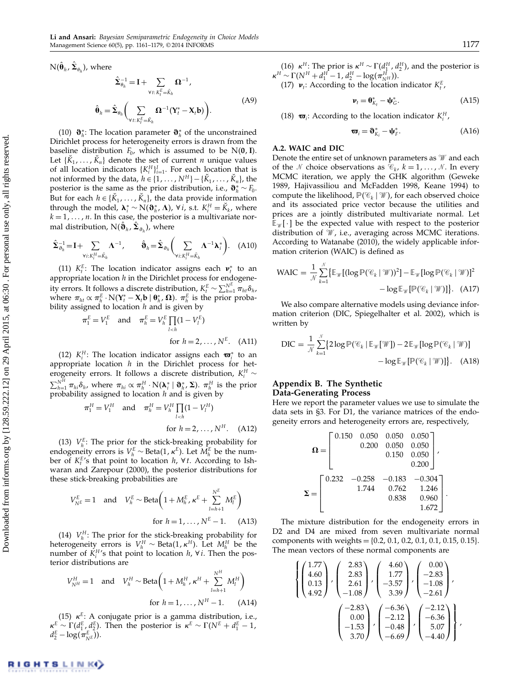$\mathrm{N}(\hat{\textbf{\textit{\textbf{θ}}}}_h,\hat{\bm{\Sigma}}_{\theta_h}),$  where

 $\pi$ 

$$
\hat{\mathbf{\Sigma}}_{\theta_h}^{-1} = \mathbf{I} + \sum_{\forall t: K_t^E = \tilde{K}_h} \mathbf{\Omega}^{-1},
$$
\n
$$
\hat{\mathbf{\theta}}_h = \hat{\mathbf{\Sigma}}_{\theta_h} \Big( \sum_{\forall t: K_t^E = \tilde{K}_h} \mathbf{\Omega}^{-1} (\mathbf{Y}_t^* - \mathbf{X}_t \mathbf{b}) \Big).
$$
\n(A9)

(10)  $\mathbf{\vartheta}_h^*$ : The location parameter  $\mathbf{\vartheta}_h^*$  of the unconstrained Dirichlet process for heterogeneity errors is drawn from the baseline distribution  $F_0$ , which is assumed to be N(0, I). Let  $\{\check{K}_1, \ldots, \check{K}_n\}$  denote the set of current *n* unique values of all location indicators  $\{K_i^H\}_{i=1}^I$ . For each location that is not informed by the data,  $h \in \{1, \ldots, N^H\} - \{\breve{K}_1, \ldots, \breve{K}_n\}$ , the posterior is the same as the prior distribution, i.e.,  $\mathbf{\vartheta}_h^* \sim F_0$ . But for each  $h \in {\{\breve{K}_1, \ldots, \breve{K}_n\}}$ , the data provide information through the model,  $\mathbf{\lambda}_i^* \sim \mathbf{N}(\mathbf{\vartheta}_h^*, \mathbf{\Lambda})$ ,  $\forall i$ , s.t.  $K_i^H = \check{K}_k$ , where  $k = 1, \ldots, n$ . In this case, the posterior is a multivariate normal distribution,  $\mathrm{N}(\hat{\bm{\mathfrak{d}}}_{h},\hat{\bm{\Sigma}}_{\vartheta_h})$  , where

$$
\hat{\boldsymbol{\Sigma}}_{\vartheta_h}^{-1} = \mathbf{I} + \sum_{\forall i: K_i^H = \check{K}_h} \boldsymbol{\Lambda}^{-1}, \qquad \hat{\boldsymbol{\vartheta}}_h = \hat{\boldsymbol{\Sigma}}_{\vartheta_h} \bigg( \sum_{\forall i: K_i^H = \check{K}_h} \boldsymbol{\Lambda}^{-1} \boldsymbol{\lambda}_i^* \bigg). \tag{A10}
$$

(11)  $K_i^E$ : The location indicator assigns each  $v_i^*$  to an appropriate location  $h$  in the Dirichlet process for endogeneity errors. It follows a discrete distribution,  $K_i^E \sim \sum_{h=1}^{N^E} \pi_{ht} \delta_h$ , where  $\pi_{ht} \propto \pi_h^E \cdot N(Y_t^* - X_t b \mid \theta_h^*, \Omega)$ .  $\pi_h^E$  is the prior probability assigned to location  $h$  and is given by

$$
E_{1}^{E} = V_{1}^{E} \quad \text{and} \quad \pi_{h}^{E} = V_{h}^{E} \prod_{l < h} (1 - V_{l}^{E})
$$
\n
$$
\text{for } h = 2, \dots, N^{E}. \quad \text{(A11)}
$$

(12)  $K_i^H$ : The location indicator assigns each  $\boldsymbol{\varpi}_i^*$  to an appropriate location  $h$  in the Dirichlet process for heterogeneity errors. It follows a discrete distribution,  $K_i^H \sim$  $\sum_{h=1}^{N^H} \pi_{hi} \delta_h$ , where  $\pi_{hi} \propto \pi_h^H \cdot N(\lambda_i^* \mid \mathfrak{d}_h^* , \Sigma)$ .  $\pi_h^H$  is the prior probability assigned to location  $h$  and is given by

$$
\pi_1^H = V_1^H
$$
 and  $\pi_h^H = V_h^H \prod_{l < h} (1 - V_l^H)$   
for  $h = 2, ..., N^H$ . (A12)

(13)  $V_h^E$ : The prior for the stick-breaking probability for endogeneity errors is  $V_h^E \sim \text{Beta}(1, \kappa^E)$ . Let  $M_h^E$  be the number of  $K_t^E$ 's that point to location  $h$ , ∀t. According to Ishwaran and Zarepour (2000), the posterior distributions for these stick-breaking probabilities are

$$
V_{N^{E}}^{E} = 1 \quad \text{and} \quad V_{h}^{E} \sim \text{Beta}\bigg(1 + M_{h}^{E}, \kappa^{E} + \sum_{l=h+1}^{N^{E}} M_{l}^{E}\bigg)
$$
  
for  $h = 1, ..., N^{E} - 1$ . (A13)

(14)  $V_h^H$ : The prior for the stick-breaking probability for heterogeneity errors is  $V_h^H \sim \text{Beta}(1, \kappa^H)$ . Let  $M_h^H$  be the number of  $K_i^H$ 's that point to location  $h$ ,  $\forall i$ . Then the posterior distributions are

$$
V_{N^H}^H = 1 \text{ and } V_h^H \sim \text{Beta}\bigg(1 + M_h^H, \kappa^H + \sum_{l=h+1}^{N^H} M_l^H\bigg) \\
 \text{for } h = 1, ..., N^H - 1. \tag{A14}
$$

(15)  $\kappa^E$ : A conjugate prior is a gamma distribution, i.e.,  $\kappa^E \sim \Gamma(d_1^E, d_2^E)$ . Then the posterior is  $\kappa^E \sim \Gamma(N^E + d_1^E - 1)$ ,  $d_2^E - \log(\pi_{N^E}^E)).$ 

(16)  $\kappa^H$ : The prior is  $\kappa^H \sim \Gamma(d_1^H, d_2^H)$ , and the posterior is  $\kappa^H \sim \Gamma(N^H+d_1^H-1, d_2^H-\log(\pi_{N^H}^H)).$ 

(17)  $v_t$ : According to the location indicator  $K_t^E$ ,

$$
\boldsymbol{\nu}_t = \boldsymbol{\theta}_{K_t}^* - \boldsymbol{\psi}_G^* \tag{A15}
$$

(18)  $\boldsymbol{\varpi}_i$ : According to the location indicator  $K_i^H$ ,

$$
\boldsymbol{\varpi}_i = \boldsymbol{\vartheta}_{K_i}^* - \boldsymbol{\psi}_F^*.
$$
 (A16)

#### A.2. WAIC and DIC

Denote the entire set of unknown parameters as  $\mathcal W$  and each of the  $N$  choice observations as  $\mathcal{C}_k$ ,  $k = 1, \ldots, N$ . In every MCMC iteration, we apply the GHK algorithm (Geweke 1989, Hajivassiliou and McFadden 1998, Keane 1994) to compute the likelihood,  $\mathbb{P}(\mathscr{C}_k \mid \mathscr{W})$ , for each observed choice and its associated price vector because the utilities and prices are a jointly distributed multivariate normal. Let  $\mathbb{E}_{\mathcal{W}}[\cdot]$  be the expected value with respect to the posterior distribution of  $W$ , i.e., averaging across MCMC iterations. According to Watanabe (2010), the widely applicable information criterion (WAIC) is defined as

$$
\text{WAIC} = \frac{1}{N} \sum_{k=1}^{N} \{ \mathbb{E}_{\mathcal{W}} [(\log \mathbb{P}(\mathcal{C}_k \mid \mathcal{W}))^2] - \mathbb{E}_{\mathcal{W}} [\log \mathbb{P}(\mathcal{C}_k \mid \mathcal{W})]^2 - \log \mathbb{E}_{\mathcal{W}} [\mathbb{P}(\mathcal{C}_k \mid \mathcal{W})] \}. \tag{A17}
$$

We also compare alternative models using deviance information criterion (DIC, Spiegelhalter et al. 2002), which is written by

$$
\text{DIC} = \frac{1}{N} \sum_{k=1}^{N} \{ 2 \log \mathbb{P}(\mathcal{C}_k \mid \mathbb{E}_{\mathcal{W}}[\mathcal{W}]) - 2 \mathbb{E}_{\mathcal{W}}[\log \mathbb{P}(\mathcal{C}_k \mid \mathcal{W})] - \log \mathbb{E}_{\mathcal{W}}[\mathbb{P}(\mathcal{C}_k \mid \mathcal{W})] \}. \quad \text{(A18)}
$$

# Appendix B. The Synthetic Data-Generating Process

Here we report the parameter values we use to simulate the data sets in §3. For D1, the variance matrices of the endogeneity errors and heterogeneity errors are, respectively,

$$
\mathbf{\Omega} = \begin{bmatrix} 0.150 & 0.050 & 0.050 & 0.050 \\ 0.200 & 0.050 & 0.050 \\ 0.150 & 0.050 \\ 0.200 \end{bmatrix},
$$

$$
\mathbf{\Sigma} = \begin{bmatrix} 0.232 & -0.258 & -0.183 & -0.304 \\ 1.744 & 0.762 & 1.246 \\ 0.838 & 0.960 \\ 1.672 \end{bmatrix}.
$$

The mixture distribution for the endogeneity errors in D2 and D4 are mixed from seven multivariate normal components with weights =  $\{0.2, 0.1, 0.2, 0.1, 0.1, 0.15, 0.15\}.$ The mean vectors of these normal components are

$$
\left\{ \begin{pmatrix} 1.77 \\ 4.60 \\ 0.13 \\ 4.92 \end{pmatrix}, \begin{pmatrix} 2.83 \\ 2.83 \\ 2.61 \\ -1.08 \end{pmatrix}, \begin{pmatrix} 4.60 \\ 1.77 \\ -3.57 \\ 3.39 \end{pmatrix}, \begin{pmatrix} 0.00 \\ -2.83 \\ -1.08 \\ -2.61 \end{pmatrix}, \begin{pmatrix} -2.83 \\ -1.08 \\ -2.61 \end{pmatrix}, \begin{pmatrix} -2.83 \\ -2.61 \\ -2.61 \end{pmatrix}, \begin{pmatrix} -2.83 \\ -2.61 \\ -1.53 \\ 3.70 \end{pmatrix}, \begin{pmatrix} -6.36 \\ -0.48 \\ -6.69 \end{pmatrix}, \begin{pmatrix} -2.12 \\ -6.36 \\ 5.07 \\ -4.40 \end{pmatrix} \right\},
$$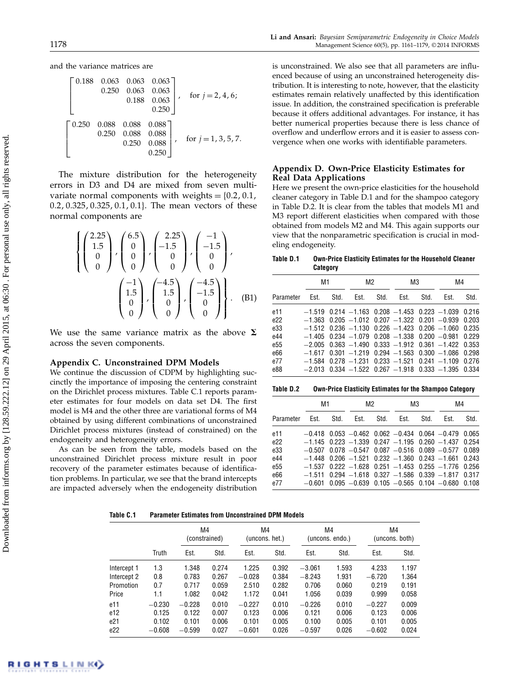and the variance matrices are

$$
\begin{bmatrix}\n0.188 & 0.063 & 0.063 & 0.063 \\
0.250 & 0.063 & 0.063 \\
0.188 & 0.063 \\
0.250\n\end{bmatrix}, \text{ for } j = 2, 4, 6;
$$
\n
$$
\begin{bmatrix}\n0.250 & 0.088 & 0.088 \\
0.250 & 0.088 & 0.088 \\
0.250 & 0.088 & 0.088 \\
0.250 & 0.088 & 0.250\n\end{bmatrix}, \text{ for } j = 1, 3, 5, 7.
$$

The mixture distribution for the heterogeneity errors in D3 and D4 are mixed from seven multivariate normal components with weights =  $\{0.2, 0.1, \ldots\}$  $0.2, 0.325, 0.325, 0.1, 0.1$ . The mean vectors of these normal components are

$$
\left\{ \begin{pmatrix} 2.25 \\ 1.5 \\ 0 \\ 0 \end{pmatrix}, \begin{pmatrix} 6.5 \\ 0 \\ 0 \\ 0 \end{pmatrix}, \begin{pmatrix} 2.25 \\ -1.5 \\ 0 \\ 0 \end{pmatrix}, \begin{pmatrix} -1 \\ -1.5 \\ 0 \\ 0 \end{pmatrix}, \begin{pmatrix} -1 \\ 0 \\ 0 \\ 0 \end{pmatrix}, \begin{pmatrix} -4.5 \\ 1.5 \\ 0 \\ 0 \end{pmatrix}, \begin{pmatrix} -4.5 \\ 0 \\ 0 \\ 0 \end{pmatrix} \right\}.
$$
 (B1)

We use the same variance matrix as the above  $\Sigma$ across the seven components.

#### Appendix C. Unconstrained DPM Models

We continue the discussion of CDPM by highlighting succinctly the importance of imposing the centering constraint on the Dirichlet process mixtures. Table C.1 reports parameter estimates for four models on data set D4. The first model is M4 and the other three are variational forms of M4 obtained by using different combinations of unconstrained Dirichlet process mixtures (instead of constrained) on the endogeneity and heterogeneity errors.

As can be seen from the table, models based on the unconstrained Dirichlet process mixture result in poor recovery of the parameter estimates because of identification problems. In particular, we see that the brand intercepts are impacted adversely when the endogeneity distribution is unconstrained. We also see that all parameters are influenced because of using an unconstrained heterogeneity distribution. It is interesting to note, however, that the elasticity estimates remain relatively unaffected by this identification issue. In addition, the constrained specification is preferable because it offers additional advantages. For instance, it has better numerical properties because there is less chance of overflow and underflow errors and it is easier to assess convergence when one works with identifiable parameters.

## Appendix D. Own-Price Elasticity Estimates for Real Data Applications

Here we present the own-price elasticities for the household cleaner category in Table D.1 and for the shampoo category in Table D.2. It is clear from the tables that models M1 and M3 report different elasticities when compared with those obtained from models M2 and M4. This again supports our view that the nonparametric specification is crucial in modeling endogeneity.

Table D.1 Own-Price Elasticity Estimates for the Household Cleaner **Category** 

|                                                                                          | M2   |                                    | M3   |      | M4                                                                                                                                                                                                                                                                                                                                                                                         |  |
|------------------------------------------------------------------------------------------|------|------------------------------------|------|------|--------------------------------------------------------------------------------------------------------------------------------------------------------------------------------------------------------------------------------------------------------------------------------------------------------------------------------------------------------------------------------------------|--|
| Est.                                                                                     | Std. | Est.                               | Std. | Est. | Std.                                                                                                                                                                                                                                                                                                                                                                                       |  |
|                                                                                          |      |                                    |      |      | 0.216<br>0.203<br>0.235<br>0.229<br>0.353<br>0.298<br>0.276                                                                                                                                                                                                                                                                                                                                |  |
| Est.<br>$-1.519$<br>$-1.363$<br>$-1.405$<br>$-2.005$<br>$-1.617$<br>$-1.584$<br>$-2.013$ | Std. | $0.234 - 1.079$<br>$0.278 - 1.231$ |      |      | $0.214 - 1.163$ $0.208 - 1.453$ $0.223 - 1.039$<br>$0.205 - 1.012$ $0.207 - 1.322$ $0.201 - 0.939$<br>$-1.512$ 0.236 $-1.130$ 0.226 $-1.423$ 0.206 $-1.060$<br>$0.208 - 1.338$ $0.200 - 0.981$<br>$0.363 - 1.490$ $0.333 - 1.912$ $0.361 - 1.422$<br>$0.301 - 1.219$ $0.294 - 1.563$ $0.300 - 1.086$<br>$0.233 - 1.521$ $0.241 - 1.109$<br>$0.334 - 1.522$ $0.267 - 1.918$ $0.333 - 1.395$ |  |

Table D.2 Own-Price Elasticity Estimates for the Shampoo Category

|           | M1       |      | M2                                                          |      | M3   |      | M4   |      |
|-----------|----------|------|-------------------------------------------------------------|------|------|------|------|------|
| Parameter | Est.     | Std. | Est.                                                        | Std. | Est. | Std. | Est. | Std. |
| e11       |          |      | $-0.418$ 0.053 $-0.462$ 0.062 $-0.434$ 0.064 $-0.479$ 0.065 |      |      |      |      |      |
| e22       |          |      | $-1.145$ 0.223 $-1.339$ 0.247 $-1.195$ 0.260 $-1.437$ 0.254 |      |      |      |      |      |
| e33       | $-0.507$ |      | $0.078 - 0.547 0.087 - 0.516 0.089 - 0.577 0.089$           |      |      |      |      |      |
| e44       | $-1.448$ |      | $0.206 - 1.521$ $0.232 - 1.360$ $0.243 - 1.661$ $0.243$     |      |      |      |      |      |
| e55       | $-1.537$ |      | $0.222 - 1.628$ $0.251 - 1.453$ $0.255 - 1.776$ $0.256$     |      |      |      |      |      |
| e66       | $-1.511$ |      | $0.294 - 1.618$ $0.327 - 1.586$ $0.339 - 1.817$ $0.317$     |      |      |      |      |      |
| e77       | $-0.601$ |      | $0.095 - 0.639$ $0.105 - 0.565$ $0.104 - 0.680$ $0.108$     |      |      |      |      |      |

Table C.1 Parameter Estimates from Unconstrained DPM Models

|             |          | M4<br>(constrained) |       | M4<br>(uncons. het.) |       | M4<br>(uncons. endo.) |       | M4<br>(uncons. both) |       |
|-------------|----------|---------------------|-------|----------------------|-------|-----------------------|-------|----------------------|-------|
|             | Truth    | Est.                | Std.  | Est.                 | Std.  | Est.                  | Std.  | Est.                 | Std.  |
| Intercept 1 | 1.3      | 1.348               | 0.274 | 1.225                | 0.392 | $-3.061$              | 1.593 | 4.233                | 1.197 |
| Intercept 2 | 0.8      | 0.783               | 0.267 | $-0.028$             | 0.384 | $-8.243$              | 1.931 | $-6.720$             | 1.364 |
| Promotion   | 0.7      | 0.717               | 0.059 | 2.510                | 0.282 | 0.706                 | 0.060 | 0.219                | 0.191 |
| Price       | 1.1      | 1.082               | 0.042 | 1.172                | 0.041 | 1.056                 | 0.039 | 0.999                | 0.058 |
| e11         | $-0.230$ | $-0.228$            | 0.010 | $-0.227$             | 0.010 | $-0.226$              | 0.010 | $-0.227$             | 0.009 |
| e12         | 0.125    | 0.122               | 0.007 | 0.123                | 0.006 | 0.121                 | 0.006 | 0.123                | 0.006 |
| e21         | 0.102    | 0.101               | 0.006 | 0.101                | 0.005 | 0.100                 | 0.005 | 0.101                | 0.005 |
| e22         | $-0.608$ | $-0.599$            | 0.027 | $-0.601$             | 0.026 | $-0.597$              | 0.026 | $-0.602$             | 0.024 |